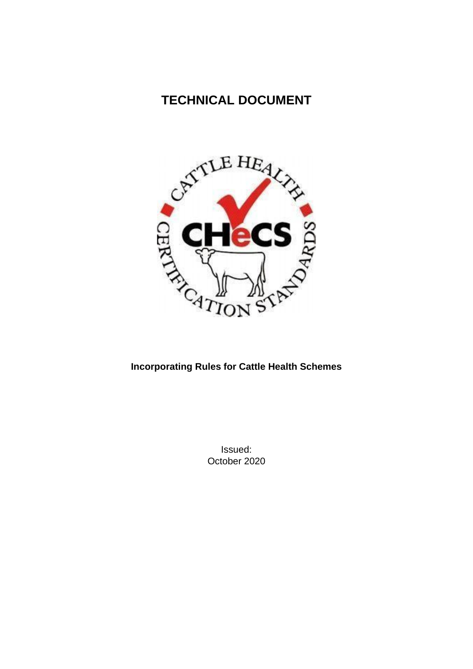# **TECHNICAL DOCUMENT**



# **Incorporating Rules for Cattle Health Schemes**

Issued: October 2020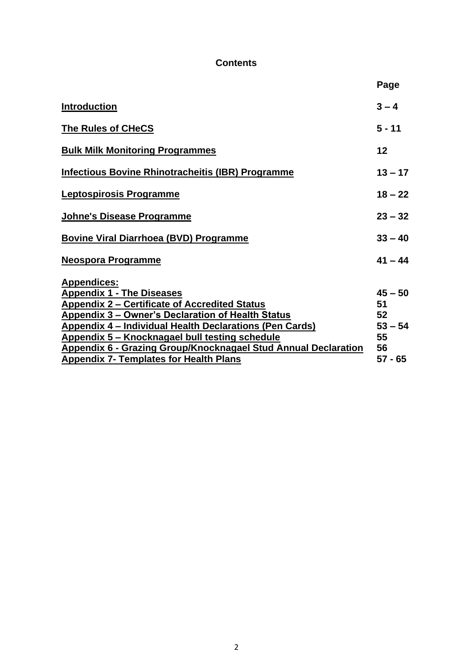## **Contents**

<span id="page-1-0"></span>

| $3 - 4$<br><b>Introduction</b><br><b>The Rules of CHeCS</b><br>$5 - 11$<br>12<br><b>Bulk Milk Monitoring Programmes</b><br>$13 - 17$<br>Infectious Bovine Rhinotracheitis (IBR) Programme<br>Leptospirosis Programme<br>$18 - 22$ | Page |
|-----------------------------------------------------------------------------------------------------------------------------------------------------------------------------------------------------------------------------------|------|
|                                                                                                                                                                                                                                   |      |
|                                                                                                                                                                                                                                   |      |
|                                                                                                                                                                                                                                   |      |
|                                                                                                                                                                                                                                   |      |
|                                                                                                                                                                                                                                   |      |
| $23 - 32$<br>Johne's Disease Programme                                                                                                                                                                                            |      |
| <b>Bovine Viral Diarrhoea (BVD) Programme</b><br>$33 - 40$                                                                                                                                                                        |      |
| $41 - 44$<br>Neospora Programme                                                                                                                                                                                                   |      |
| <b>Appendices:</b>                                                                                                                                                                                                                |      |
| $45 - 50$<br><b>Appendix 1 - The Diseases</b>                                                                                                                                                                                     |      |
| Appendix 2 - Certificate of Accredited Status<br>51                                                                                                                                                                               |      |
| Appendix 3 – Owner's Declaration of Health Status<br>52                                                                                                                                                                           |      |
| <b>Appendix 4 - Individual Health Declarations (Pen Cards)</b><br>$53 - 54$                                                                                                                                                       |      |
| Appendix 5 – Knocknagael bull testing schedule<br>55                                                                                                                                                                              |      |
| Appendix 6 - Grazing Group/Knocknagael Stud Annual Declaration<br>56                                                                                                                                                              |      |
| $57 - 65$<br><b>Appendix 7- Templates for Health Plans</b>                                                                                                                                                                        |      |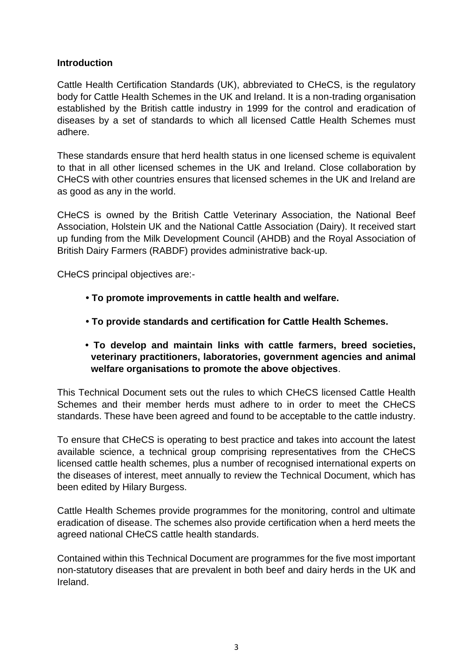#### **Introduction**

Cattle Health Certification Standards (UK), abbreviated to CHeCS, is the regulatory body for Cattle Health Schemes in the UK and Ireland. It is a non-trading organisation established by the British cattle industry in 1999 for the control and eradication of diseases by a set of standards to which all licensed Cattle Health Schemes must adhere.

These standards ensure that herd health status in one licensed scheme is equivalent to that in all other licensed schemes in the UK and Ireland. Close collaboration by CHeCS with other countries ensures that licensed schemes in the UK and Ireland are as good as any in the world.

CHeCS is owned by the British Cattle Veterinary Association, the National Beef Association, Holstein UK and the National Cattle Association (Dairy). It received start up funding from the Milk Development Council (AHDB) and the Royal Association of British Dairy Farmers (RABDF) provides administrative back-up.

CHeCS principal objectives are:-

- **To promote improvements in cattle health and welfare.**
- **To provide standards and certification for Cattle Health Schemes.**
- **To develop and maintain links with cattle farmers, breed societies, veterinary practitioners, laboratories, government agencies and animal welfare organisations to promote the above objectives**.

This Technical Document sets out the rules to which CHeCS licensed Cattle Health Schemes and their member herds must adhere to in order to meet the CHeCS standards. These have been agreed and found to be acceptable to the cattle industry.

To ensure that CHeCS is operating to best practice and takes into account the latest available science, a technical group comprising representatives from the CHeCS licensed cattle health schemes, plus a number of recognised international experts on the diseases of interest, meet annually to review the Technical Document, which has been edited by Hilary Burgess.

Cattle Health Schemes provide programmes for the monitoring, control and ultimate eradication of disease. The schemes also provide certification when a herd meets the agreed national CHeCS cattle health standards.

Contained within this Technical Document are programmes for the five most important non-statutory diseases that are prevalent in both beef and dairy herds in the UK and Ireland.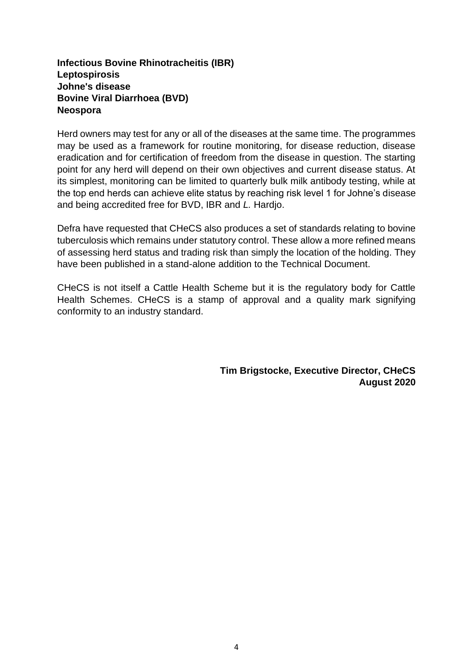#### **Infectious Bovine Rhinotracheitis (IBR) Leptospirosis Johne's disease Bovine Viral Diarrhoea (BVD) Neospora**

Herd owners may test for any or all of the diseases at the same time. The programmes may be used as a framework for routine monitoring, for disease reduction, disease eradication and for certification of freedom from the disease in question. The starting point for any herd will depend on their own objectives and current disease status. At its simplest, monitoring can be limited to quarterly bulk milk antibody testing, while at the top end herds can achieve elite status by reaching risk level 1 for Johne's disease and being accredited free for BVD, IBR and *L.* Hardjo.

Defra have requested that CHeCS also produces a set of standards relating to bovine tuberculosis which remains under statutory control. These allow a more refined means of assessing herd status and trading risk than simply the location of the holding. They have been published in a stand-alone addition to the Technical Document.

CHeCS is not itself a Cattle Health Scheme but it is the regulatory body for Cattle Health Schemes. CHeCS is a stamp of approval and a quality mark signifying conformity to an industry standard.

> **Tim Brigstocke, Executive Director, CHeCS August 2020**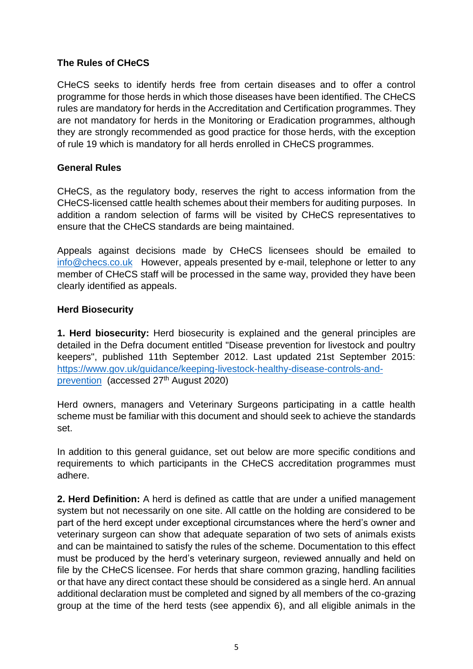#### <span id="page-4-0"></span>**The Rules of CHeCS**

CHeCS seeks to identify herds free from certain diseases and to offer a control programme for those herds in which those diseases have been identified. The CHeCS rules are mandatory for herds in the Accreditation and Certification programmes. They are not mandatory for herds in the Monitoring or Eradication programmes, although they are strongly recommended as good practice for those herds, with the exception of rule 19 which is mandatory for all herds enrolled in CHeCS programmes.

#### **General Rules**

CHeCS, as the regulatory body, reserves the right to access information from the CHeCS-licensed cattle health schemes about their members for auditing purposes. In addition a random selection of farms will be visited by CHeCS representatives to ensure that the CHeCS standards are being maintained.

Appeals against decisions made by CHeCS licensees should be emailed to [info@checs.co.uk](mailto:info@checs.co.uk) However, appeals presented by e-mail, telephone or letter to any member of CHeCS staff will be processed in the same way, provided they have been clearly identified as appeals.

#### **Herd Biosecurity**

**1. Herd biosecurity:** Herd biosecurity is explained and the general principles are detailed in the Defra document entitled "Disease prevention for livestock and poultry keepers", published 11th September 2012. Last updated 21st September 2015: [https://www.gov.uk/guidance/keeping-livestock-healthy-disease-controls-and](https://www.gov.uk/guidance/keeping-livestock-healthy-disease-controls-and-prevention)[prevention](https://www.gov.uk/guidance/keeping-livestock-healthy-disease-controls-and-prevention) (accessed 27<sup>th</sup> August 2020)

Herd owners, managers and Veterinary Surgeons participating in a cattle health scheme must be familiar with this document and should seek to achieve the standards set.

In addition to this general guidance, set out below are more specific conditions and requirements to which participants in the CHeCS accreditation programmes must adhere.

**2. Herd Definition:** A herd is defined as cattle that are under a unified management system but not necessarily on one site. All cattle on the holding are considered to be part of the herd except under exceptional circumstances where the herd's owner and veterinary surgeon can show that adequate separation of two sets of animals exists and can be maintained to satisfy the rules of the scheme. Documentation to this effect must be produced by the herd's veterinary surgeon, reviewed annually and held on file by the CHeCS licensee. For herds that share common grazing, handling facilities or that have any direct contact these should be considered as a single herd. An annual additional declaration must be completed and signed by all members of the co-grazing group at the time of the herd tests (see appendix 6), and all eligible animals in the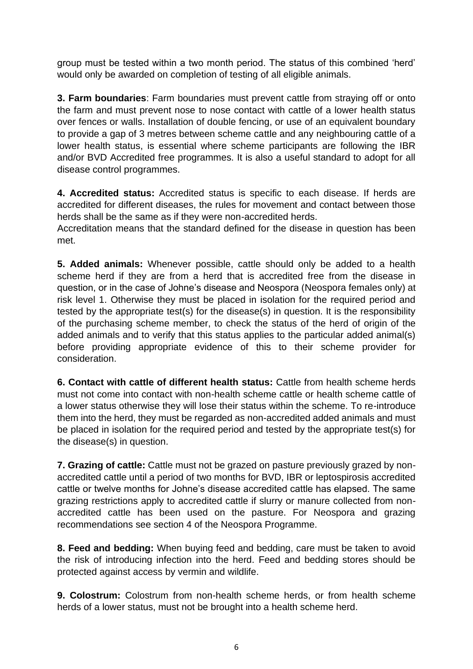group must be tested within a two month period. The status of this combined 'herd' would only be awarded on completion of testing of all eligible animals.

**3. Farm boundaries**: Farm boundaries must prevent cattle from straying off or onto the farm and must prevent nose to nose contact with cattle of a lower health status over fences or walls. Installation of double fencing, or use of an equivalent boundary to provide a gap of 3 metres between scheme cattle and any neighbouring cattle of a lower health status, is essential where scheme participants are following the IBR and/or BVD Accredited free programmes. It is also a useful standard to adopt for all disease control programmes.

**4. Accredited status:** Accredited status is specific to each disease. If herds are accredited for different diseases, the rules for movement and contact between those herds shall be the same as if they were non-accredited herds.

Accreditation means that the standard defined for the disease in question has been met.

**5. Added animals:** Whenever possible, cattle should only be added to a health scheme herd if they are from a herd that is accredited free from the disease in question, or in the case of Johne's disease and Neospora (Neospora females only) at risk level 1. Otherwise they must be placed in isolation for the required period and tested by the appropriate test(s) for the disease(s) in question. It is the responsibility of the purchasing scheme member, to check the status of the herd of origin of the added animals and to verify that this status applies to the particular added animal(s) before providing appropriate evidence of this to their scheme provider for consideration.

**6. Contact with cattle of different health status:** Cattle from health scheme herds must not come into contact with non-health scheme cattle or health scheme cattle of a lower status otherwise they will lose their status within the scheme. To re-introduce them into the herd, they must be regarded as non-accredited added animals and must be placed in isolation for the required period and tested by the appropriate test(s) for the disease(s) in question.

**7. Grazing of cattle:** Cattle must not be grazed on pasture previously grazed by nonaccredited cattle until a period of two months for BVD, IBR or leptospirosis accredited cattle or twelve months for Johne's disease accredited cattle has elapsed. The same grazing restrictions apply to accredited cattle if slurry or manure collected from nonaccredited cattle has been used on the pasture. For Neospora and grazing recommendations see section 4 of the Neospora Programme.

**8. Feed and bedding:** When buying feed and bedding, care must be taken to avoid the risk of introducing infection into the herd. Feed and bedding stores should be protected against access by vermin and wildlife.

**9. Colostrum:** Colostrum from non-health scheme herds, or from health scheme herds of a lower status, must not be brought into a health scheme herd.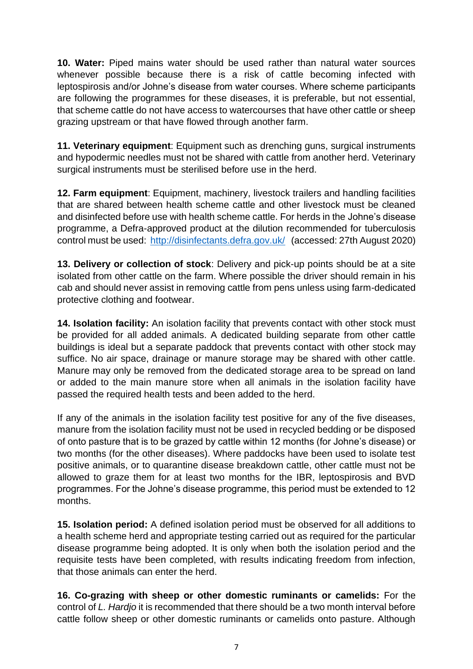**10. Water:** Piped mains water should be used rather than natural water sources whenever possible because there is a risk of cattle becoming infected with leptospirosis and/or Johne's disease from water courses. Where scheme participants are following the programmes for these diseases, it is preferable, but not essential, that scheme cattle do not have access to watercourses that have other cattle or sheep grazing upstream or that have flowed through another farm.

**11. Veterinary equipment**: Equipment such as drenching guns, surgical instruments and hypodermic needles must not be shared with cattle from another herd. Veterinary surgical instruments must be sterilised before use in the herd.

**12. Farm equipment**: Equipment, machinery, livestock trailers and handling facilities that are shared between health scheme cattle and other livestock must be cleaned and disinfected before use with health scheme cattle. For herds in the Johne's disease programme, a Defra-approved product at the dilution recommended for tuberculosis control must be used:<http://disinfectants.defra.gov.uk/> (accessed: 27th August 2020)

**13. Delivery or collection of stock**: Delivery and pick-up points should be at a site isolated from other cattle on the farm. Where possible the driver should remain in his cab and should never assist in removing cattle from pens unless using farm-dedicated protective clothing and footwear.

**14. Isolation facility:** An isolation facility that prevents contact with other stock must be provided for all added animals. A dedicated building separate from other cattle buildings is ideal but a separate paddock that prevents contact with other stock may suffice. No air space, drainage or manure storage may be shared with other cattle. Manure may only be removed from the dedicated storage area to be spread on land or added to the main manure store when all animals in the isolation facility have passed the required health tests and been added to the herd.

If any of the animals in the isolation facility test positive for any of the five diseases, manure from the isolation facility must not be used in recycled bedding or be disposed of onto pasture that is to be grazed by cattle within 12 months (for Johne's disease) or two months (for the other diseases). Where paddocks have been used to isolate test positive animals, or to quarantine disease breakdown cattle, other cattle must not be allowed to graze them for at least two months for the IBR, leptospirosis and BVD programmes. For the Johne's disease programme, this period must be extended to 12 months.

**15. Isolation period:** A defined isolation period must be observed for all additions to a health scheme herd and appropriate testing carried out as required for the particular disease programme being adopted. It is only when both the isolation period and the requisite tests have been completed, with results indicating freedom from infection, that those animals can enter the herd.

**16. Co-grazing with sheep or other domestic ruminants or camelids:** For the control of *L. Hardjo* it is recommended that there should be a two month interval before cattle follow sheep or other domestic ruminants or camelids onto pasture. Although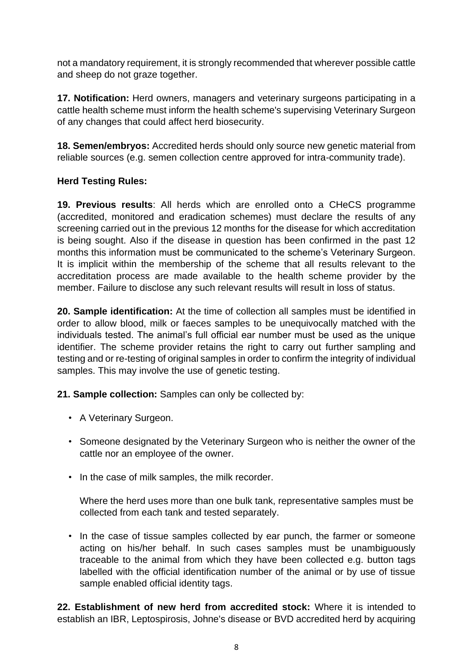not a mandatory requirement, it is strongly recommended that wherever possible cattle and sheep do not graze together.

**17. Notification:** Herd owners, managers and veterinary surgeons participating in a cattle health scheme must inform the health scheme's supervising Veterinary Surgeon of any changes that could affect herd biosecurity.

**18. Semen/embryos:** Accredited herds should only source new genetic material from reliable sources (e.g. semen collection centre approved for intra-community trade).

## **Herd Testing Rules:**

**19. Previous results**: All herds which are enrolled onto a CHeCS programme (accredited, monitored and eradication schemes) must declare the results of any screening carried out in the previous 12 months for the disease for which accreditation is being sought. Also if the disease in question has been confirmed in the past 12 months this information must be communicated to the scheme's Veterinary Surgeon. It is implicit within the membership of the scheme that all results relevant to the accreditation process are made available to the health scheme provider by the member. Failure to disclose any such relevant results will result in loss of status.

**20. Sample identification:** At the time of collection all samples must be identified in order to allow blood, milk or faeces samples to be unequivocally matched with the individuals tested. The animal's full official ear number must be used as the unique identifier. The scheme provider retains the right to carry out further sampling and testing and or re-testing of original samples in order to confirm the integrity of individual samples. This may involve the use of genetic testing.

**21. Sample collection:** Samples can only be collected by:

- A Veterinary Surgeon.
- Someone designated by the Veterinary Surgeon who is neither the owner of the cattle nor an employee of the owner.
- In the case of milk samples, the milk recorder.

Where the herd uses more than one bulk tank, representative samples must be collected from each tank and tested separately.

• In the case of tissue samples collected by ear punch, the farmer or someone acting on his/her behalf. In such cases samples must be unambiguously traceable to the animal from which they have been collected e.g. button tags labelled with the official identification number of the animal or by use of tissue sample enabled official identity tags.

**22. Establishment of new herd from accredited stock:** Where it is intended to establish an IBR, Leptospirosis, Johne's disease or BVD accredited herd by acquiring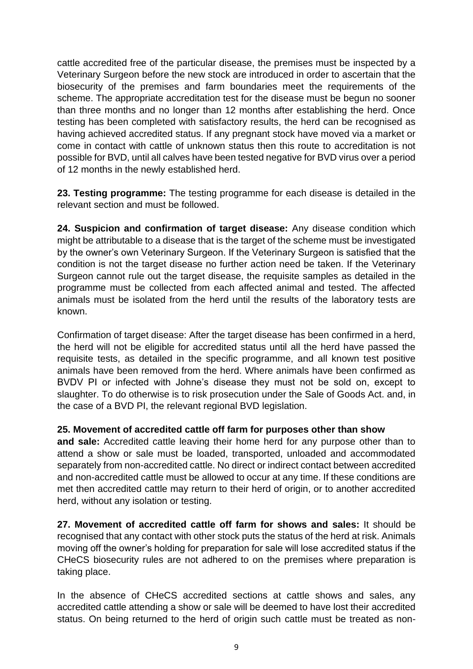cattle accredited free of the particular disease, the premises must be inspected by a Veterinary Surgeon before the new stock are introduced in order to ascertain that the biosecurity of the premises and farm boundaries meet the requirements of the scheme. The appropriate accreditation test for the disease must be begun no sooner than three months and no longer than 12 months after establishing the herd. Once testing has been completed with satisfactory results, the herd can be recognised as having achieved accredited status. If any pregnant stock have moved via a market or come in contact with cattle of unknown status then this route to accreditation is not possible for BVD, until all calves have been tested negative for BVD virus over a period of 12 months in the newly established herd.

**23. Testing programme:** The testing programme for each disease is detailed in the relevant section and must be followed.

**24. Suspicion and confirmation of target disease:** Any disease condition which might be attributable to a disease that is the target of the scheme must be investigated by the owner's own Veterinary Surgeon. If the Veterinary Surgeon is satisfied that the condition is not the target disease no further action need be taken. If the Veterinary Surgeon cannot rule out the target disease, the requisite samples as detailed in the programme must be collected from each affected animal and tested. The affected animals must be isolated from the herd until the results of the laboratory tests are known.

Confirmation of target disease: After the target disease has been confirmed in a herd, the herd will not be eligible for accredited status until all the herd have passed the requisite tests, as detailed in the specific programme, and all known test positive animals have been removed from the herd. Where animals have been confirmed as BVDV PI or infected with Johne's disease they must not be sold on, except to slaughter. To do otherwise is to risk prosecution under the Sale of Goods Act. and, in the case of a BVD PI, the relevant regional BVD legislation.

#### **25. Movement of accredited cattle off farm for purposes other than show**

**and sale:** Accredited cattle leaving their home herd for any purpose other than to attend a show or sale must be loaded, transported, unloaded and accommodated separately from non-accredited cattle. No direct or indirect contact between accredited and non-accredited cattle must be allowed to occur at any time. If these conditions are met then accredited cattle may return to their herd of origin, or to another accredited herd, without any isolation or testing.

**27. Movement of accredited cattle off farm for shows and sales:** It should be recognised that any contact with other stock puts the status of the herd at risk. Animals moving off the owner's holding for preparation for sale will lose accredited status if the CHeCS biosecurity rules are not adhered to on the premises where preparation is taking place.

In the absence of CHeCS accredited sections at cattle shows and sales, any accredited cattle attending a show or sale will be deemed to have lost their accredited status. On being returned to the herd of origin such cattle must be treated as non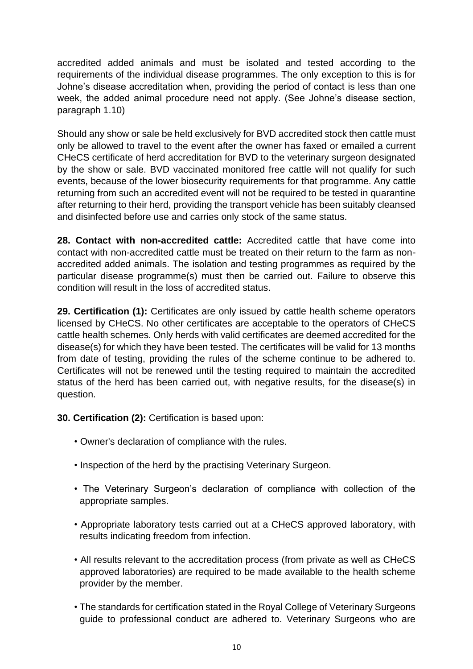accredited added animals and must be isolated and tested according to the requirements of the individual disease programmes. The only exception to this is for Johne's disease accreditation when, providing the period of contact is less than one week, the added animal procedure need not apply. (See Johne's disease section, paragraph 1.10)

Should any show or sale be held exclusively for BVD accredited stock then cattle must only be allowed to travel to the event after the owner has faxed or emailed a current CHeCS certificate of herd accreditation for BVD to the veterinary surgeon designated by the show or sale. BVD vaccinated monitored free cattle will not qualify for such events, because of the lower biosecurity requirements for that programme. Any cattle returning from such an accredited event will not be required to be tested in quarantine after returning to their herd, providing the transport vehicle has been suitably cleansed and disinfected before use and carries only stock of the same status.

**28. Contact with non-accredited cattle:** Accredited cattle that have come into contact with non-accredited cattle must be treated on their return to the farm as nonaccredited added animals. The isolation and testing programmes as required by the particular disease programme(s) must then be carried out. Failure to observe this condition will result in the loss of accredited status.

**29. Certification (1):** Certificates are only issued by cattle health scheme operators licensed by CHeCS. No other certificates are acceptable to the operators of CHeCS cattle health schemes. Only herds with valid certificates are deemed accredited for the disease(s) for which they have been tested. The certificates will be valid for 13 months from date of testing, providing the rules of the scheme continue to be adhered to. Certificates will not be renewed until the testing required to maintain the accredited status of the herd has been carried out, with negative results, for the disease(s) in question.

**30. Certification (2):** Certification is based upon:

- Owner's declaration of compliance with the rules.
- Inspection of the herd by the practising Veterinary Surgeon.
- The Veterinary Surgeon's declaration of compliance with collection of the appropriate samples.
- Appropriate laboratory tests carried out at a CHeCS approved laboratory, with results indicating freedom from infection.
- All results relevant to the accreditation process (from private as well as CHeCS approved laboratories) are required to be made available to the health scheme provider by the member.
- The standards for certification stated in the Royal College of Veterinary Surgeons guide to professional conduct are adhered to. Veterinary Surgeons who are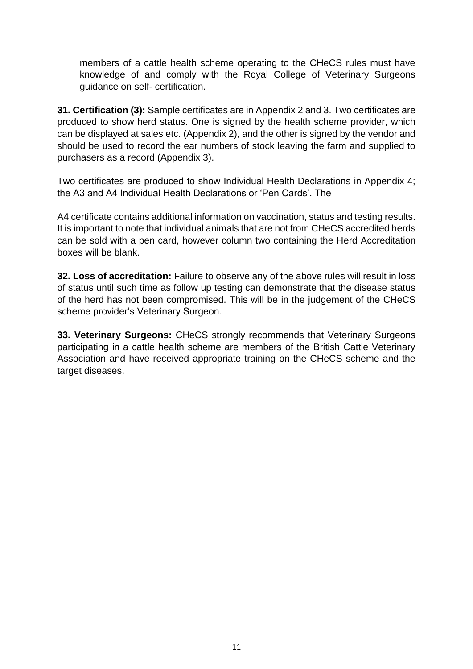members of a cattle health scheme operating to the CHeCS rules must have knowledge of and comply with the Royal College of Veterinary Surgeons guidance on self- certification.

**31. Certification (3):** Sample certificates are in Appendix 2 and 3. Two certificates are produced to show herd status. One is signed by the health scheme provider, which can be displayed at sales etc. (Appendix 2), and the other is signed by the vendor and should be used to record the ear numbers of stock leaving the farm and supplied to purchasers as a record (Appendix 3).

Two certificates are produced to show Individual Health Declarations in Appendix 4; the A3 and A4 Individual Health Declarations or 'Pen Cards'. The

A4 certificate contains additional information on vaccination, status and testing results. It is important to note that individual animals that are not from CHeCS accredited herds can be sold with a pen card, however column two containing the Herd Accreditation boxes will be blank.

**32. Loss of accreditation:** Failure to observe any of the above rules will result in loss of status until such time as follow up testing can demonstrate that the disease status of the herd has not been compromised. This will be in the judgement of the CHeCS scheme provider's Veterinary Surgeon.

**33. Veterinary Surgeons:** CHeCS strongly recommends that Veterinary Surgeons participating in a cattle health scheme are members of the British Cattle Veterinary Association and have received appropriate training on the CHeCS scheme and the target diseases.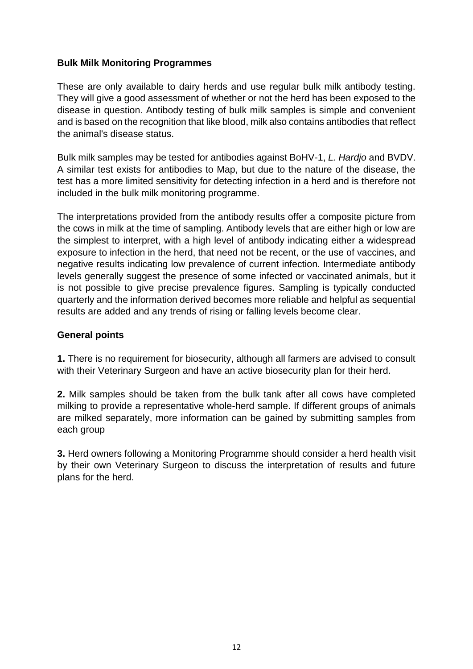#### <span id="page-11-0"></span>**Bulk Milk Monitoring Programmes**

These are only available to dairy herds and use regular bulk milk antibody testing. They will give a good assessment of whether or not the herd has been exposed to the disease in question. Antibody testing of bulk milk samples is simple and convenient and is based on the recognition that like blood, milk also contains antibodies that reflect the animal's disease status.

Bulk milk samples may be tested for antibodies against BoHV-1, *L. Hardjo* and BVDV. A similar test exists for antibodies to Map, but due to the nature of the disease, the test has a more limited sensitivity for detecting infection in a herd and is therefore not included in the bulk milk monitoring programme.

The interpretations provided from the antibody results offer a composite picture from the cows in milk at the time of sampling. Antibody levels that are either high or low are the simplest to interpret, with a high level of antibody indicating either a widespread exposure to infection in the herd, that need not be recent, or the use of vaccines, and negative results indicating low prevalence of current infection. Intermediate antibody levels generally suggest the presence of some infected or vaccinated animals, but it is not possible to give precise prevalence figures. Sampling is typically conducted quarterly and the information derived becomes more reliable and helpful as sequential results are added and any trends of rising or falling levels become clear.

#### **General points**

**1.** There is no requirement for biosecurity, although all farmers are advised to consult with their Veterinary Surgeon and have an active biosecurity plan for their herd.

**2.** Milk samples should be taken from the bulk tank after all cows have completed milking to provide a representative whole-herd sample. If different groups of animals are milked separately, more information can be gained by submitting samples from each group

**3.** Herd owners following a Monitoring Programme should consider a herd health visit by their own Veterinary Surgeon to discuss the interpretation of results and future plans for the herd.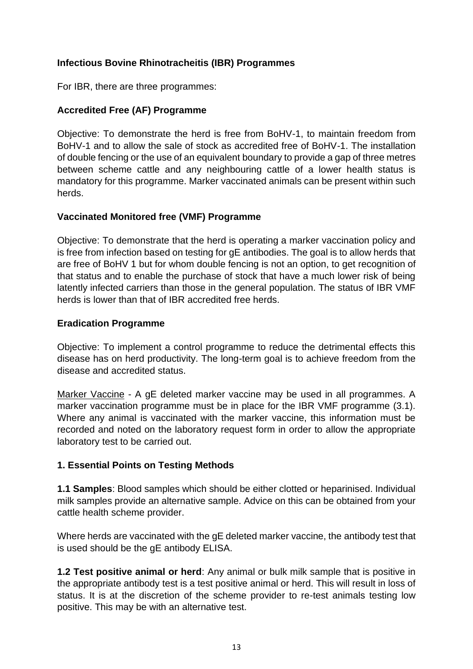### <span id="page-12-0"></span>**Infectious Bovine Rhinotracheitis (IBR) Programmes**

For IBR, there are three programmes:

### **Accredited Free (AF) Programme**

Objective: To demonstrate the herd is free from BoHV-1, to maintain freedom from BoHV-1 and to allow the sale of stock as accredited free of BoHV-1. The installation of double fencing or the use of an equivalent boundary to provide a gap of three metres between scheme cattle and any neighbouring cattle of a lower health status is mandatory for this programme. Marker vaccinated animals can be present within such herds.

#### **Vaccinated Monitored free (VMF) Programme**

Objective: To demonstrate that the herd is operating a marker vaccination policy and is free from infection based on testing for gE antibodies. The goal is to allow herds that are free of BoHV 1 but for whom double fencing is not an option, to get recognition of that status and to enable the purchase of stock that have a much lower risk of being latently infected carriers than those in the general population. The status of IBR VMF herds is lower than that of IBR accredited free herds.

#### **Eradication Programme**

Objective: To implement a control programme to reduce the detrimental effects this disease has on herd productivity. The long-term goal is to achieve freedom from the disease and accredited status.

Marker Vaccine - A gE deleted marker vaccine may be used in all programmes. A marker vaccination programme must be in place for the IBR VMF programme (3.1). Where any animal is vaccinated with the marker vaccine, this information must be recorded and noted on the laboratory request form in order to allow the appropriate laboratory test to be carried out.

#### **1. Essential Points on Testing Methods**

**1.1 Samples**: Blood samples which should be either clotted or heparinised. Individual milk samples provide an alternative sample. Advice on this can be obtained from your cattle health scheme provider.

Where herds are vaccinated with the gE deleted marker vaccine, the antibody test that is used should be the gE antibody ELISA.

**1.2 Test positive animal or herd**: Any animal or bulk milk sample that is positive in the appropriate antibody test is a test positive animal or herd. This will result in loss of status. It is at the discretion of the scheme provider to re-test animals testing low positive. This may be with an alternative test.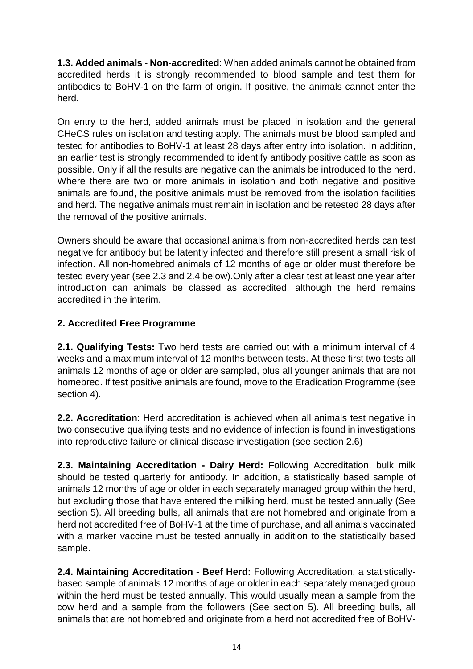**1.3. Added animals - Non-accredited**: When added animals cannot be obtained from accredited herds it is strongly recommended to blood sample and test them for antibodies to BoHV-1 on the farm of origin. If positive, the animals cannot enter the herd.

On entry to the herd, added animals must be placed in isolation and the general CHeCS rules on isolation and testing apply. The animals must be blood sampled and tested for antibodies to BoHV-1 at least 28 days after entry into isolation. In addition, an earlier test is strongly recommended to identify antibody positive cattle as soon as possible. Only if all the results are negative can the animals be introduced to the herd. Where there are two or more animals in isolation and both negative and positive animals are found, the positive animals must be removed from the isolation facilities and herd. The negative animals must remain in isolation and be retested 28 days after the removal of the positive animals.

Owners should be aware that occasional animals from non-accredited herds can test negative for antibody but be latently infected and therefore still present a small risk of infection. All non-homebred animals of 12 months of age or older must therefore be tested every year (see 2.3 and 2.4 below).Only after a clear test at least one year after introduction can animals be classed as accredited, although the herd remains accredited in the interim.

# **2. Accredited Free Programme**

**2.1. Qualifying Tests:** Two herd tests are carried out with a minimum interval of 4 weeks and a maximum interval of 12 months between tests. At these first two tests all animals 12 months of age or older are sampled, plus all younger animals that are not homebred. If test positive animals are found, move to the Eradication Programme (see section 4).

**2.2. Accreditation**: Herd accreditation is achieved when all animals test negative in two consecutive qualifying tests and no evidence of infection is found in investigations into reproductive failure or clinical disease investigation (see section 2.6)

**2.3. Maintaining Accreditation - Dairy Herd:** Following Accreditation, bulk milk should be tested quarterly for antibody. In addition, a statistically based sample of animals 12 months of age or older in each separately managed group within the herd, but excluding those that have entered the milking herd, must be tested annually (See section 5). All breeding bulls, all animals that are not homebred and originate from a herd not accredited free of BoHV-1 at the time of purchase, and all animals vaccinated with a marker vaccine must be tested annually in addition to the statistically based sample.

**2.4. Maintaining Accreditation - Beef Herd:** Following Accreditation, a statisticallybased sample of animals 12 months of age or older in each separately managed group within the herd must be tested annually. This would usually mean a sample from the cow herd and a sample from the followers (See section 5). All breeding bulls, all animals that are not homebred and originate from a herd not accredited free of BoHV-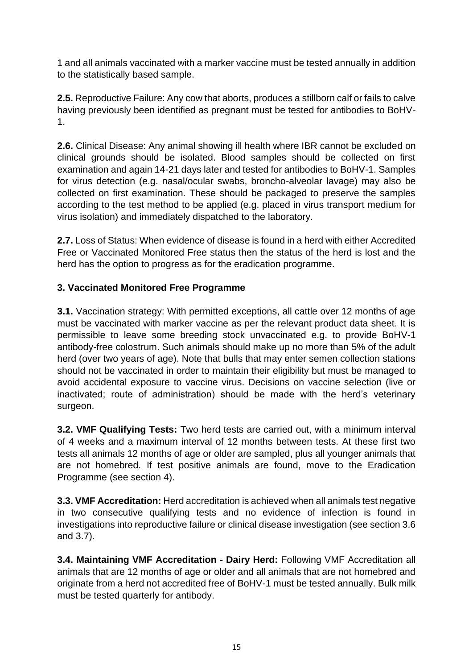1 and all animals vaccinated with a marker vaccine must be tested annually in addition to the statistically based sample.

**2.5.** Reproductive Failure: Any cow that aborts, produces a stillborn calf or fails to calve having previously been identified as pregnant must be tested for antibodies to BoHV-1.

**2.6.** Clinical Disease: Any animal showing ill health where IBR cannot be excluded on clinical grounds should be isolated. Blood samples should be collected on first examination and again 14-21 days later and tested for antibodies to BoHV-1. Samples for virus detection (e.g. nasal/ocular swabs, broncho-alveolar lavage) may also be collected on first examination. These should be packaged to preserve the samples according to the test method to be applied (e.g. placed in virus transport medium for virus isolation) and immediately dispatched to the laboratory.

**2.7.** Loss of Status: When evidence of disease is found in a herd with either Accredited Free or Vaccinated Monitored Free status then the status of the herd is lost and the herd has the option to progress as for the eradication programme.

# **3. Vaccinated Monitored Free Programme**

**3.1.** Vaccination strategy: With permitted exceptions, all cattle over 12 months of age must be vaccinated with marker vaccine as per the relevant product data sheet. It is permissible to leave some breeding stock unvaccinated e.g. to provide BoHV-1 antibody-free colostrum. Such animals should make up no more than 5% of the adult herd (over two years of age). Note that bulls that may enter semen collection stations should not be vaccinated in order to maintain their eligibility but must be managed to avoid accidental exposure to vaccine virus. Decisions on vaccine selection (live or inactivated; route of administration) should be made with the herd's veterinary surgeon.

**3.2. VMF Qualifying Tests:** Two herd tests are carried out, with a minimum interval of 4 weeks and a maximum interval of 12 months between tests. At these first two tests all animals 12 months of age or older are sampled, plus all younger animals that are not homebred. If test positive animals are found, move to the Eradication Programme (see section 4).

**3.3. VMF Accreditation:** Herd accreditation is achieved when all animals test negative in two consecutive qualifying tests and no evidence of infection is found in investigations into reproductive failure or clinical disease investigation (see section 3.6 and 3.7).

**3.4. Maintaining VMF Accreditation - Dairy Herd:** Following VMF Accreditation all animals that are 12 months of age or older and all animals that are not homebred and originate from a herd not accredited free of BoHV-1 must be tested annually. Bulk milk must be tested quarterly for antibody.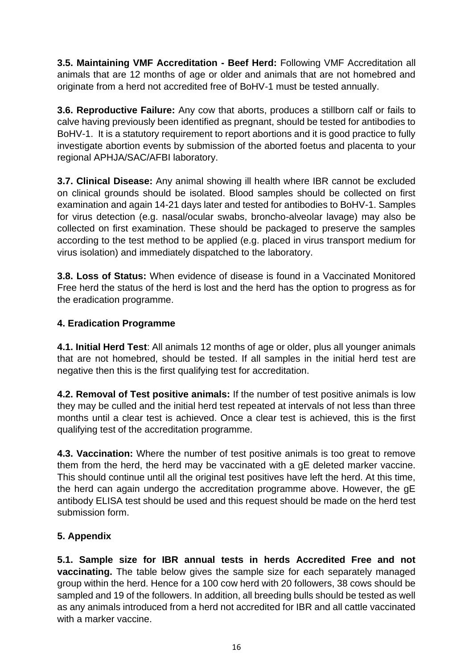**3.5. Maintaining VMF Accreditation - Beef Herd:** Following VMF Accreditation all animals that are 12 months of age or older and animals that are not homebred and originate from a herd not accredited free of BoHV-1 must be tested annually.

**3.6. Reproductive Failure:** Any cow that aborts, produces a stillborn calf or fails to calve having previously been identified as pregnant, should be tested for antibodies to BoHV-1. It is a statutory requirement to report abortions and it is good practice to fully investigate abortion events by submission of the aborted foetus and placenta to your regional APHJA/SAC/AFBI laboratory.

**3.7. Clinical Disease:** Any animal showing ill health where IBR cannot be excluded on clinical grounds should be isolated. Blood samples should be collected on first examination and again 14-21 days later and tested for antibodies to BoHV-1. Samples for virus detection (e.g. nasal/ocular swabs, broncho-alveolar lavage) may also be collected on first examination. These should be packaged to preserve the samples according to the test method to be applied (e.g. placed in virus transport medium for virus isolation) and immediately dispatched to the laboratory.

**3.8. Loss of Status:** When evidence of disease is found in a Vaccinated Monitored Free herd the status of the herd is lost and the herd has the option to progress as for the eradication programme.

# **4. Eradication Programme**

**4.1. Initial Herd Test**: All animals 12 months of age or older, plus all younger animals that are not homebred, should be tested. If all samples in the initial herd test are negative then this is the first qualifying test for accreditation.

**4.2. Removal of Test positive animals:** If the number of test positive animals is low they may be culled and the initial herd test repeated at intervals of not less than three months until a clear test is achieved. Once a clear test is achieved, this is the first qualifying test of the accreditation programme.

**4.3. Vaccination:** Where the number of test positive animals is too great to remove them from the herd, the herd may be vaccinated with a gE deleted marker vaccine. This should continue until all the original test positives have left the herd. At this time, the herd can again undergo the accreditation programme above. However, the gE antibody ELISA test should be used and this request should be made on the herd test submission form.

# **5. Appendix**

**5.1. Sample size for IBR annual tests in herds Accredited Free and not vaccinating.** The table below gives the sample size for each separately managed group within the herd. Hence for a 100 cow herd with 20 followers, 38 cows should be sampled and 19 of the followers. In addition, all breeding bulls should be tested as well as any animals introduced from a herd not accredited for IBR and all cattle vaccinated with a marker vaccine.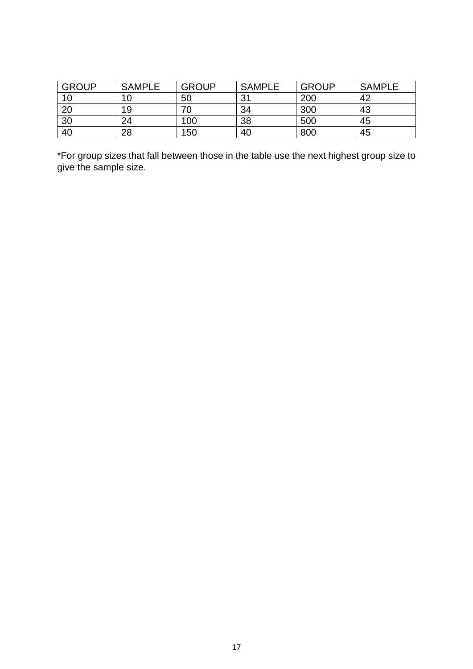| <b>GROUP</b> | <b>SAMPLE</b> | <b>GROUP</b> | <b>SAMPLE</b> | <b>GROUP</b> | <b>SAMPLE</b> |
|--------------|---------------|--------------|---------------|--------------|---------------|
| 10           | 1 ∩           | 50           | 21            | 200          | 42            |
| 20           | 19            | 70           | 34            | 300          | 43            |
| 30           | 24            | 100          | 38            | 500          | 45            |
| 40           | 28            | 150          | 40            | 800          | 45            |

\*For group sizes that fall between those in the table use the next highest group size to give the sample size.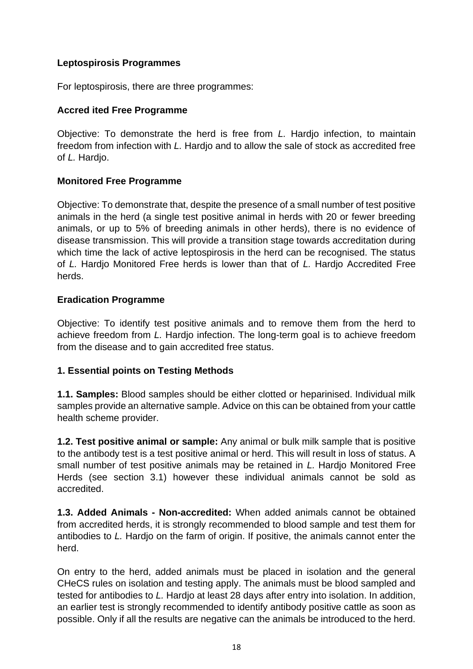#### <span id="page-17-0"></span>**Leptospirosis Programmes**

For leptospirosis, there are three programmes:

#### **Accred ited Free Programme**

Objective: To demonstrate the herd is free from *L.* Hardjo infection, to maintain freedom from infection with *L.* Hardjo and to allow the sale of stock as accredited free of *L.* Hardjo.

#### **Monitored Free Programme**

Objective: To demonstrate that, despite the presence of a small number of test positive animals in the herd (a single test positive animal in herds with 20 or fewer breeding animals, or up to 5% of breeding animals in other herds), there is no evidence of disease transmission. This will provide a transition stage towards accreditation during which time the lack of active leptospirosis in the herd can be recognised. The status of *L.* Hardjo Monitored Free herds is lower than that of *L.* Hardjo Accredited Free herds.

#### **Eradication Programme**

Objective: To identify test positive animals and to remove them from the herd to achieve freedom from *L.* Hardjo infection. The long-term goal is to achieve freedom from the disease and to gain accredited free status.

#### **1. Essential points on Testing Methods**

**1.1. Samples:** Blood samples should be either clotted or heparinised. Individual milk samples provide an alternative sample. Advice on this can be obtained from your cattle health scheme provider.

**1.2. Test positive animal or sample:** Any animal or bulk milk sample that is positive to the antibody test is a test positive animal or herd. This will result in loss of status. A small number of test positive animals may be retained in *L.* Hardjo Monitored Free Herds (see section 3.1) however these individual animals cannot be sold as accredited.

**1.3. Added Animals - Non-accredited:** When added animals cannot be obtained from accredited herds, it is strongly recommended to blood sample and test them for antibodies to *L.* Hardjo on the farm of origin. If positive, the animals cannot enter the herd.

On entry to the herd, added animals must be placed in isolation and the general CHeCS rules on isolation and testing apply. The animals must be blood sampled and tested for antibodies to *L.* Hardjo at least 28 days after entry into isolation. In addition, an earlier test is strongly recommended to identify antibody positive cattle as soon as possible. Only if all the results are negative can the animals be introduced to the herd.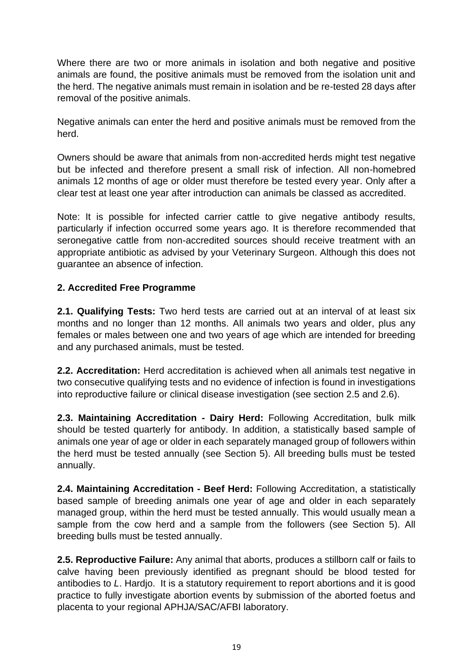Where there are two or more animals in isolation and both negative and positive animals are found, the positive animals must be removed from the isolation unit and the herd. The negative animals must remain in isolation and be re-tested 28 days after removal of the positive animals.

Negative animals can enter the herd and positive animals must be removed from the herd.

Owners should be aware that animals from non-accredited herds might test negative but be infected and therefore present a small risk of infection. All non-homebred animals 12 months of age or older must therefore be tested every year. Only after a clear test at least one year after introduction can animals be classed as accredited.

Note: It is possible for infected carrier cattle to give negative antibody results, particularly if infection occurred some years ago. It is therefore recommended that seronegative cattle from non-accredited sources should receive treatment with an appropriate antibiotic as advised by your Veterinary Surgeon. Although this does not guarantee an absence of infection.

## **2. Accredited Free Programme**

**2.1. Qualifying Tests:** Two herd tests are carried out at an interval of at least six months and no longer than 12 months. All animals two years and older, plus any females or males between one and two years of age which are intended for breeding and any purchased animals, must be tested.

**2.2. Accreditation:** Herd accreditation is achieved when all animals test negative in two consecutive qualifying tests and no evidence of infection is found in investigations into reproductive failure or clinical disease investigation (see section 2.5 and 2.6).

**2.3. Maintaining Accreditation - Dairy Herd:** Following Accreditation, bulk milk should be tested quarterly for antibody. In addition, a statistically based sample of animals one year of age or older in each separately managed group of followers within the herd must be tested annually (see Section 5). All breeding bulls must be tested annually.

**2.4. Maintaining Accreditation - Beef Herd:** Following Accreditation, a statistically based sample of breeding animals one year of age and older in each separately managed group, within the herd must be tested annually. This would usually mean a sample from the cow herd and a sample from the followers (see Section 5). All breeding bulls must be tested annually.

**2.5. Reproductive Failure:** Any animal that aborts, produces a stillborn calf or fails to calve having been previously identified as pregnant should be blood tested for antibodies to *L*. Hardjo. It is a statutory requirement to report abortions and it is good practice to fully investigate abortion events by submission of the aborted foetus and placenta to your regional APHJA/SAC/AFBI laboratory.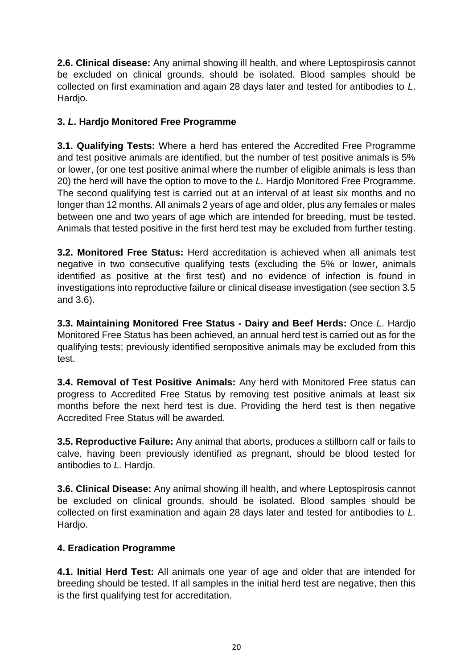**2.6. Clinical disease:** Any animal showing ill health, and where Leptospirosis cannot be excluded on clinical grounds, should be isolated. Blood samples should be collected on first examination and again 28 days later and tested for antibodies to *L*. Hardjo.

# **3.** *L***. Hardjo Monitored Free Programme**

**3.1. Qualifying Tests:** Where a herd has entered the Accredited Free Programme and test positive animals are identified, but the number of test positive animals is 5% or lower, (or one test positive animal where the number of eligible animals is less than 20) the herd will have the option to move to the *L.* Hardjo Monitored Free Programme. The second qualifying test is carried out at an interval of at least six months and no longer than 12 months. All animals 2 years of age and older, plus any females or males between one and two years of age which are intended for breeding, must be tested. Animals that tested positive in the first herd test may be excluded from further testing.

**3.2. Monitored Free Status:** Herd accreditation is achieved when all animals test negative in two consecutive qualifying tests (excluding the 5% or lower, animals identified as positive at the first test) and no evidence of infection is found in investigations into reproductive failure or clinical disease investigation (see section 3.5 and 3.6).

**3.3. Maintaining Monitored Free Status - Dairy and Beef Herds:** Once *L*. Hardjo Monitored Free Status has been achieved, an annual herd test is carried out as for the qualifying tests; previously identified seropositive animals may be excluded from this test.

**3.4. Removal of Test Positive Animals:** Any herd with Monitored Free status can progress to Accredited Free Status by removing test positive animals at least six months before the next herd test is due. Providing the herd test is then negative Accredited Free Status will be awarded.

**3.5. Reproductive Failure:** Any animal that aborts, produces a stillborn calf or fails to calve, having been previously identified as pregnant, should be blood tested for antibodies to *L.* Hardjo.

**3.6. Clinical Disease:** Any animal showing ill health, and where Leptospirosis cannot be excluded on clinical grounds, should be isolated. Blood samples should be collected on first examination and again 28 days later and tested for antibodies to *L.*  Hardjo.

# **4. Eradication Programme**

**4.1. Initial Herd Test:** All animals one year of age and older that are intended for breeding should be tested. If all samples in the initial herd test are negative, then this is the first qualifying test for accreditation.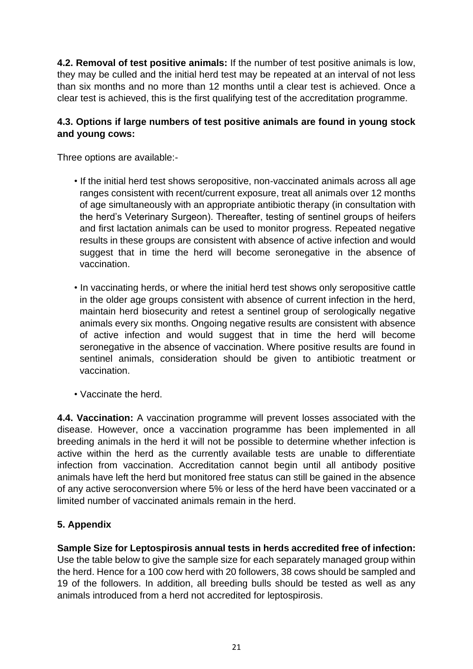**4.2. Removal of test positive animals:** If the number of test positive animals is low, they may be culled and the initial herd test may be repeated at an interval of not less than six months and no more than 12 months until a clear test is achieved. Once a clear test is achieved, this is the first qualifying test of the accreditation programme.

## **4.3. Options if large numbers of test positive animals are found in young stock and young cows:**

Three options are available:-

- If the initial herd test shows seropositive, non-vaccinated animals across all age ranges consistent with recent/current exposure, treat all animals over 12 months of age simultaneously with an appropriate antibiotic therapy (in consultation with the herd's Veterinary Surgeon). Thereafter, testing of sentinel groups of heifers and first lactation animals can be used to monitor progress. Repeated negative results in these groups are consistent with absence of active infection and would suggest that in time the herd will become seronegative in the absence of vaccination.
- In vaccinating herds, or where the initial herd test shows only seropositive cattle in the older age groups consistent with absence of current infection in the herd, maintain herd biosecurity and retest a sentinel group of serologically negative animals every six months. Ongoing negative results are consistent with absence of active infection and would suggest that in time the herd will become seronegative in the absence of vaccination. Where positive results are found in sentinel animals, consideration should be given to antibiotic treatment or vaccination.
- Vaccinate the herd.

**4.4. Vaccination:** A vaccination programme will prevent losses associated with the disease. However, once a vaccination programme has been implemented in all breeding animals in the herd it will not be possible to determine whether infection is active within the herd as the currently available tests are unable to differentiate infection from vaccination. Accreditation cannot begin until all antibody positive animals have left the herd but monitored free status can still be gained in the absence of any active seroconversion where 5% or less of the herd have been vaccinated or a limited number of vaccinated animals remain in the herd.

# **5. Appendix**

**Sample Size for Leptospirosis annual tests in herds accredited free of infection:** Use the table below to give the sample size for each separately managed group within the herd. Hence for a 100 cow herd with 20 followers, 38 cows should be sampled and 19 of the followers. In addition, all breeding bulls should be tested as well as any animals introduced from a herd not accredited for leptospirosis.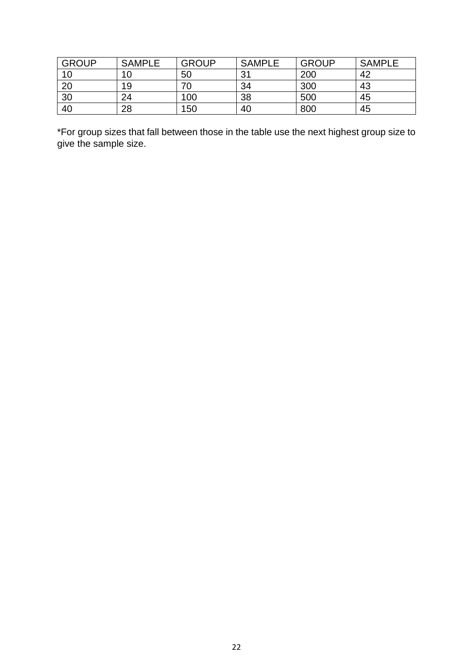| <b>GROUP</b> | <b>SAMPLE</b> | <b>GROUP</b> | <b>SAMPLE</b> | <b>GROUP</b> | <b>SAMPLE</b> |
|--------------|---------------|--------------|---------------|--------------|---------------|
| 10           | 10            | 50           | 21            | 200          | 42            |
| 20           | 19            | 70           | 34            | 300          | 43            |
| 30           | 24            | 100          | 38            | 500          | 45            |
| 40           | 28            | 150          | 40            | 800          | 45            |

\*For group sizes that fall between those in the table use the next highest group size to give the sample size.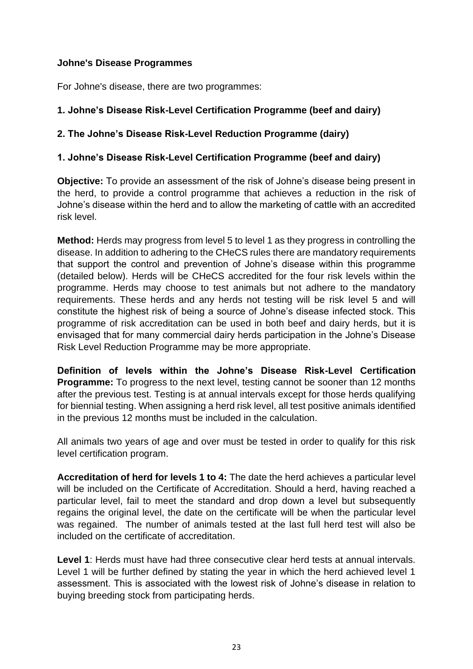#### <span id="page-22-0"></span>**Johne's Disease Programmes**

For Johne's disease, there are two programmes:

## **1. Johne's Disease Risk-Level Certification Programme (beef and dairy)**

#### **2. The Johne's Disease Risk-Level Reduction Programme (dairy)**

#### **1. Johne's Disease Risk-Level Certification Programme (beef and dairy)**

**Objective:** To provide an assessment of the risk of Johne's disease being present in the herd, to provide a control programme that achieves a reduction in the risk of Johne's disease within the herd and to allow the marketing of cattle with an accredited risk level.

**Method:** Herds may progress from level 5 to level 1 as they progress in controlling the disease. In addition to adhering to the CHeCS rules there are mandatory requirements that support the control and prevention of Johne's disease within this programme (detailed below). Herds will be CHeCS accredited for the four risk levels within the programme. Herds may choose to test animals but not adhere to the mandatory requirements. These herds and any herds not testing will be risk level 5 and will constitute the highest risk of being a source of Johne's disease infected stock. This programme of risk accreditation can be used in both beef and dairy herds, but it is envisaged that for many commercial dairy herds participation in the Johne's Disease Risk Level Reduction Programme may be more appropriate.

**Definition of levels within the Johne's Disease Risk-Level Certification Programme:** To progress to the next level, testing cannot be sooner than 12 months after the previous test. Testing is at annual intervals except for those herds qualifying for biennial testing. When assigning a herd risk level, all test positive animals identified in the previous 12 months must be included in the calculation.

All animals two years of age and over must be tested in order to qualify for this risk level certification program.

**Accreditation of herd for levels 1 to 4:** The date the herd achieves a particular level will be included on the Certificate of Accreditation. Should a herd, having reached a particular level, fail to meet the standard and drop down a level but subsequently regains the original level, the date on the certificate will be when the particular level was regained. The number of animals tested at the last full herd test will also be included on the certificate of accreditation.

**Level 1**: Herds must have had three consecutive clear herd tests at annual intervals. Level 1 will be further defined by stating the year in which the herd achieved level 1 assessment. This is associated with the lowest risk of Johne's disease in relation to buying breeding stock from participating herds.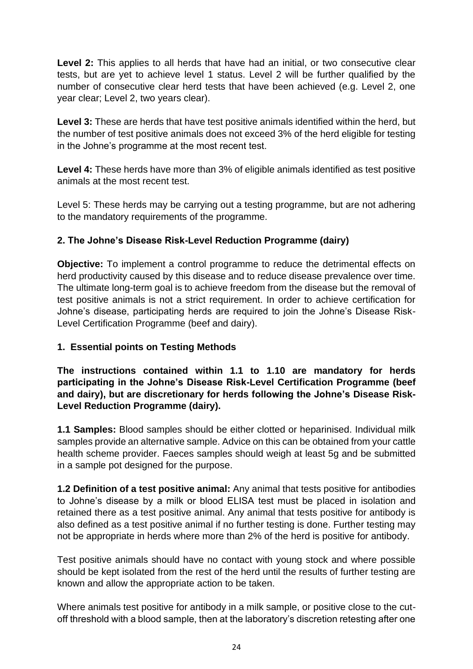Level 2: This applies to all herds that have had an initial, or two consecutive clear tests, but are yet to achieve level 1 status. Level 2 will be further qualified by the number of consecutive clear herd tests that have been achieved (e.g. Level 2, one year clear; Level 2, two years clear).

**Level 3:** These are herds that have test positive animals identified within the herd, but the number of test positive animals does not exceed 3% of the herd eligible for testing in the Johne's programme at the most recent test.

**Level 4:** These herds have more than 3% of eligible animals identified as test positive animals at the most recent test.

Level 5: These herds may be carrying out a testing programme, but are not adhering to the mandatory requirements of the programme.

## **2. The Johne's Disease Risk-Level Reduction Programme (dairy)**

**Objective:** To implement a control programme to reduce the detrimental effects on herd productivity caused by this disease and to reduce disease prevalence over time. The ultimate long-term goal is to achieve freedom from the disease but the removal of test positive animals is not a strict requirement. In order to achieve certification for Johne's disease, participating herds are required to join the Johne's Disease Risk-Level Certification Programme (beef and dairy).

#### **1. Essential points on Testing Methods**

**The instructions contained within 1.1 to 1.10 are mandatory for herds participating in the Johne's Disease Risk-Level Certification Programme (beef and dairy), but are discretionary for herds following the Johne's Disease Risk-Level Reduction Programme (dairy).**

**1.1 Samples:** Blood samples should be either clotted or heparinised. Individual milk samples provide an alternative sample. Advice on this can be obtained from your cattle health scheme provider. Faeces samples should weigh at least 5g and be submitted in a sample pot designed for the purpose.

**1.2 Definition of a test positive animal:** Any animal that tests positive for antibodies to Johne's disease by a milk or blood ELISA test must be placed in isolation and retained there as a test positive animal. Any animal that tests positive for antibody is also defined as a test positive animal if no further testing is done. Further testing may not be appropriate in herds where more than 2% of the herd is positive for antibody.

Test positive animals should have no contact with young stock and where possible should be kept isolated from the rest of the herd until the results of further testing are known and allow the appropriate action to be taken.

Where animals test positive for antibody in a milk sample, or positive close to the cutoff threshold with a blood sample, then at the laboratory's discretion retesting after one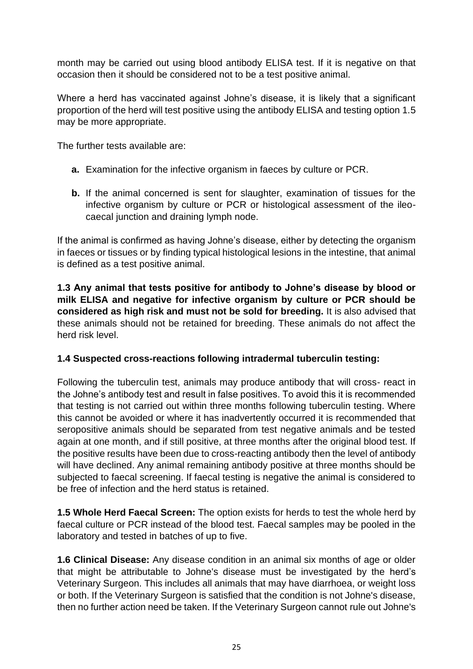month may be carried out using blood antibody ELISA test. If it is negative on that occasion then it should be considered not to be a test positive animal.

Where a herd has vaccinated against Johne's disease, it is likely that a significant proportion of the herd will test positive using the antibody ELISA and testing option 1.5 may be more appropriate.

The further tests available are:

- **a.** Examination for the infective organism in faeces by culture or PCR.
- **b.** If the animal concerned is sent for slaughter, examination of tissues for the infective organism by culture or PCR or histological assessment of the ileocaecal junction and draining lymph node.

If the animal is confirmed as having Johne's disease, either by detecting the organism in faeces or tissues or by finding typical histological lesions in the intestine, that animal is defined as a test positive animal.

**1.3 Any animal that tests positive for antibody to Johne's disease by blood or milk ELISA and negative for infective organism by culture or PCR should be considered as high risk and must not be sold for breeding.** It is also advised that these animals should not be retained for breeding. These animals do not affect the herd risk level.

#### **1.4 Suspected cross-reactions following intradermal tuberculin testing:**

Following the tuberculin test, animals may produce antibody that will cross- react in the Johne's antibody test and result in false positives. To avoid this it is recommended that testing is not carried out within three months following tuberculin testing. Where this cannot be avoided or where it has inadvertently occurred it is recommended that seropositive animals should be separated from test negative animals and be tested again at one month, and if still positive, at three months after the original blood test. If the positive results have been due to cross-reacting antibody then the level of antibody will have declined. Any animal remaining antibody positive at three months should be subjected to faecal screening. If faecal testing is negative the animal is considered to be free of infection and the herd status is retained.

**1.5 Whole Herd Faecal Screen:** The option exists for herds to test the whole herd by faecal culture or PCR instead of the blood test. Faecal samples may be pooled in the laboratory and tested in batches of up to five.

**1.6 Clinical Disease:** Any disease condition in an animal six months of age or older that might be attributable to Johne's disease must be investigated by the herd's Veterinary Surgeon. This includes all animals that may have diarrhoea, or weight loss or both. If the Veterinary Surgeon is satisfied that the condition is not Johne's disease, then no further action need be taken. If the Veterinary Surgeon cannot rule out Johne's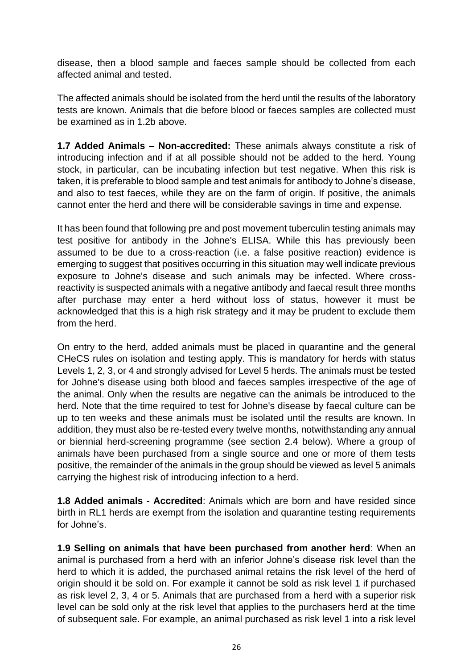disease, then a blood sample and faeces sample should be collected from each affected animal and tested.

The affected animals should be isolated from the herd until the results of the laboratory tests are known. Animals that die before blood or faeces samples are collected must be examined as in 1.2b above.

**1.7 Added Animals – Non-accredited:** These animals always constitute a risk of introducing infection and if at all possible should not be added to the herd. Young stock, in particular, can be incubating infection but test negative. When this risk is taken, it is preferable to blood sample and test animals for antibody to Johne's disease, and also to test faeces, while they are on the farm of origin. If positive, the animals cannot enter the herd and there will be considerable savings in time and expense.

It has been found that following pre and post movement tuberculin testing animals may test positive for antibody in the Johne's ELISA. While this has previously been assumed to be due to a cross-reaction (i.e. a false positive reaction) evidence is emerging to suggest that positives occurring in this situation may well indicate previous exposure to Johne's disease and such animals may be infected. Where crossreactivity is suspected animals with a negative antibody and faecal result three months after purchase may enter a herd without loss of status, however it must be acknowledged that this is a high risk strategy and it may be prudent to exclude them from the herd.

On entry to the herd, added animals must be placed in quarantine and the general CHeCS rules on isolation and testing apply. This is mandatory for herds with status Levels 1, 2, 3, or 4 and strongly advised for Level 5 herds. The animals must be tested for Johne's disease using both blood and faeces samples irrespective of the age of the animal. Only when the results are negative can the animals be introduced to the herd. Note that the time required to test for Johne's disease by faecal culture can be up to ten weeks and these animals must be isolated until the results are known. In addition, they must also be re-tested every twelve months, notwithstanding any annual or biennial herd-screening programme (see section 2.4 below). Where a group of animals have been purchased from a single source and one or more of them tests positive, the remainder of the animals in the group should be viewed as level 5 animals carrying the highest risk of introducing infection to a herd.

**1.8 Added animals - Accredited**: Animals which are born and have resided since birth in RL1 herds are exempt from the isolation and quarantine testing requirements for Johne's.

**1.9 Selling on animals that have been purchased from another herd**: When an animal is purchased from a herd with an inferior Johne's disease risk level than the herd to which it is added, the purchased animal retains the risk level of the herd of origin should it be sold on. For example it cannot be sold as risk level 1 if purchased as risk level 2, 3, 4 or 5. Animals that are purchased from a herd with a superior risk level can be sold only at the risk level that applies to the purchasers herd at the time of subsequent sale. For example, an animal purchased as risk level 1 into a risk level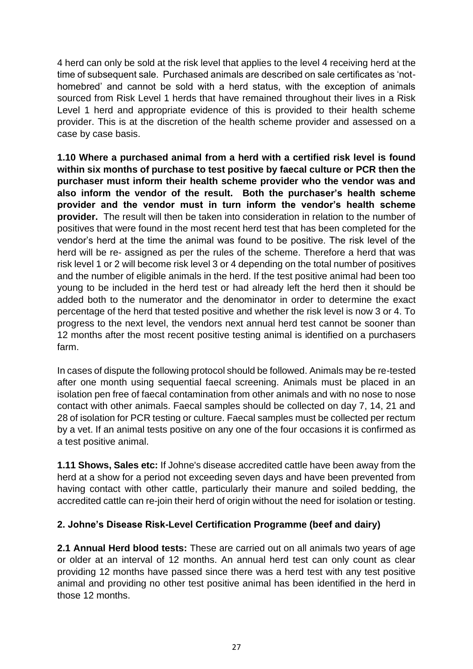4 herd can only be sold at the risk level that applies to the level 4 receiving herd at the time of subsequent sale. Purchased animals are described on sale certificates as 'nothomebred' and cannot be sold with a herd status, with the exception of animals sourced from Risk Level 1 herds that have remained throughout their lives in a Risk Level 1 herd and appropriate evidence of this is provided to their health scheme provider. This is at the discretion of the health scheme provider and assessed on a case by case basis.

**1.10 Where a purchased animal from a herd with a certified risk level is found within six months of purchase to test positive by faecal culture or PCR then the purchaser must inform their health scheme provider who the vendor was and also inform the vendor of the result. Both the purchaser's health scheme provider and the vendor must in turn inform the vendor's health scheme provider.** The result will then be taken into consideration in relation to the number of positives that were found in the most recent herd test that has been completed for the vendor's herd at the time the animal was found to be positive. The risk level of the herd will be re- assigned as per the rules of the scheme. Therefore a herd that was risk level 1 or 2 will become risk level 3 or 4 depending on the total number of positives and the number of eligible animals in the herd. If the test positive animal had been too young to be included in the herd test or had already left the herd then it should be added both to the numerator and the denominator in order to determine the exact percentage of the herd that tested positive and whether the risk level is now 3 or 4. To progress to the next level, the vendors next annual herd test cannot be sooner than 12 months after the most recent positive testing animal is identified on a purchasers farm.

In cases of dispute the following protocol should be followed. Animals may be re-tested after one month using sequential faecal screening. Animals must be placed in an isolation pen free of faecal contamination from other animals and with no nose to nose contact with other animals. Faecal samples should be collected on day 7, 14, 21 and 28 of isolation for PCR testing or culture. Faecal samples must be collected per rectum by a vet. If an animal tests positive on any one of the four occasions it is confirmed as a test positive animal.

**1.11 Shows, Sales etc:** If Johne's disease accredited cattle have been away from the herd at a show for a period not exceeding seven days and have been prevented from having contact with other cattle, particularly their manure and soiled bedding, the accredited cattle can re-join their herd of origin without the need for isolation or testing.

#### **2. Johne's Disease Risk-Level Certification Programme (beef and dairy)**

**2.1 Annual Herd blood tests:** These are carried out on all animals two years of age or older at an interval of 12 months. An annual herd test can only count as clear providing 12 months have passed since there was a herd test with any test positive animal and providing no other test positive animal has been identified in the herd in those 12 months.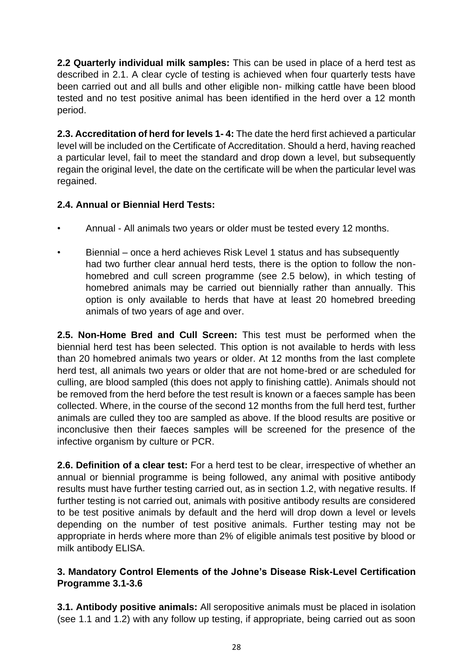**2.2 Quarterly individual milk samples:** This can be used in place of a herd test as described in 2.1. A clear cycle of testing is achieved when four quarterly tests have been carried out and all bulls and other eligible non- milking cattle have been blood tested and no test positive animal has been identified in the herd over a 12 month period.

**2.3. Accreditation of herd for levels 1- 4:** The date the herd first achieved a particular level will be included on the Certificate of Accreditation. Should a herd, having reached a particular level, fail to meet the standard and drop down a level, but subsequently regain the original level, the date on the certificate will be when the particular level was regained.

# **2.4. Annual or Biennial Herd Tests:**

- Annual All animals two years or older must be tested every 12 months.
- Biennial once a herd achieves Risk Level 1 status and has subsequently had two further clear annual herd tests, there is the option to follow the nonhomebred and cull screen programme (see 2.5 below), in which testing of homebred animals may be carried out biennially rather than annually. This option is only available to herds that have at least 20 homebred breeding animals of two years of age and over.

**2.5. Non-Home Bred and Cull Screen:** This test must be performed when the biennial herd test has been selected. This option is not available to herds with less than 20 homebred animals two years or older. At 12 months from the last complete herd test, all animals two years or older that are not home-bred or are scheduled for culling, are blood sampled (this does not apply to finishing cattle). Animals should not be removed from the herd before the test result is known or a faeces sample has been collected. Where, in the course of the second 12 months from the full herd test, further animals are culled they too are sampled as above. If the blood results are positive or inconclusive then their faeces samples will be screened for the presence of the infective organism by culture or PCR.

**2.6. Definition of a clear test:** For a herd test to be clear, irrespective of whether an annual or biennial programme is being followed, any animal with positive antibody results must have further testing carried out, as in section 1.2, with negative results. If further testing is not carried out, animals with positive antibody results are considered to be test positive animals by default and the herd will drop down a level or levels depending on the number of test positive animals. Further testing may not be appropriate in herds where more than 2% of eligible animals test positive by blood or milk antibody ELISA.

## **3. Mandatory Control Elements of the Johne's Disease Risk-Level Certification Programme 3.1-3.6**

**3.1. Antibody positive animals:** All seropositive animals must be placed in isolation (see 1.1 and 1.2) with any follow up testing, if appropriate, being carried out as soon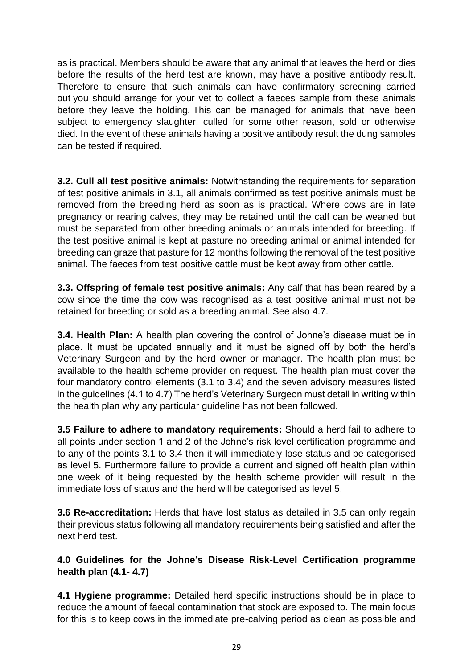as is practical. Members should be aware that any animal that leaves the herd or dies before the results of the herd test are known, may have a positive antibody result. Therefore to ensure that such animals can have confirmatory screening carried out you should arrange for your vet to collect a faeces sample from these animals before they leave the holding. This can be managed for animals that have been subject to emergency slaughter, culled for some other reason, sold or otherwise died. In the event of these animals having a positive antibody result the dung samples can be tested if required.

**3.2. Cull all test positive animals:** Notwithstanding the requirements for separation of test positive animals in 3.1, all animals confirmed as test positive animals must be removed from the breeding herd as soon as is practical. Where cows are in late pregnancy or rearing calves, they may be retained until the calf can be weaned but must be separated from other breeding animals or animals intended for breeding. If the test positive animal is kept at pasture no breeding animal or animal intended for breeding can graze that pasture for 12 months following the removal of the test positive animal. The faeces from test positive cattle must be kept away from other cattle.

**3.3. Offspring of female test positive animals:** Any calf that has been reared by a cow since the time the cow was recognised as a test positive animal must not be retained for breeding or sold as a breeding animal. See also 4.7.

**3.4. Health Plan:** A health plan covering the control of Johne's disease must be in place. It must be updated annually and it must be signed off by both the herd's Veterinary Surgeon and by the herd owner or manager. The health plan must be available to the health scheme provider on request. The health plan must cover the four mandatory control elements (3.1 to 3.4) and the seven advisory measures listed in the guidelines (4.1 to 4.7) The herd's Veterinary Surgeon must detail in writing within the health plan why any particular guideline has not been followed.

**3.5 Failure to adhere to mandatory requirements:** Should a herd fail to adhere to all points under section 1 and 2 of the Johne's risk level certification programme and to any of the points 3.1 to 3.4 then it will immediately lose status and be categorised as level 5. Furthermore failure to provide a current and signed off health plan within one week of it being requested by the health scheme provider will result in the immediate loss of status and the herd will be categorised as level 5.

**3.6 Re-accreditation:** Herds that have lost status as detailed in 3.5 can only regain their previous status following all mandatory requirements being satisfied and after the next herd test.

#### **4.0 Guidelines for the Johne's Disease Risk-Level Certification programme health plan (4.1- 4.7)**

**4.1 Hygiene programme:** Detailed herd specific instructions should be in place to reduce the amount of faecal contamination that stock are exposed to. The main focus for this is to keep cows in the immediate pre-calving period as clean as possible and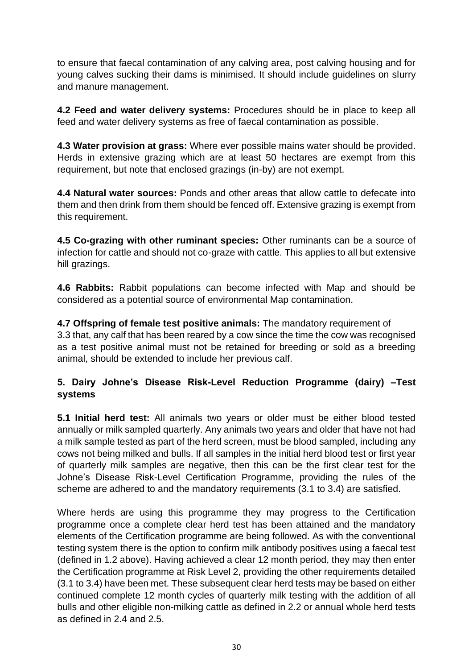to ensure that faecal contamination of any calving area, post calving housing and for young calves sucking their dams is minimised. It should include guidelines on slurry and manure management.

**4.2 Feed and water delivery systems:** Procedures should be in place to keep all feed and water delivery systems as free of faecal contamination as possible.

**4.3 Water provision at grass:** Where ever possible mains water should be provided. Herds in extensive grazing which are at least 50 hectares are exempt from this requirement, but note that enclosed grazings (in-by) are not exempt.

**4.4 Natural water sources:** Ponds and other areas that allow cattle to defecate into them and then drink from them should be fenced off. Extensive grazing is exempt from this requirement.

**4.5 Co-grazing with other ruminant species:** Other ruminants can be a source of infection for cattle and should not co-graze with cattle. This applies to all but extensive hill grazings.

**4.6 Rabbits:** Rabbit populations can become infected with Map and should be considered as a potential source of environmental Map contamination.

**4.7 Offspring of female test positive animals:** The mandatory requirement of 3.3 that, any calf that has been reared by a cow since the time the cow was recognised as a test positive animal must not be retained for breeding or sold as a breeding animal, should be extended to include her previous calf.

## **5. Dairy Johne's Disease Risk-Level Reduction Programme (dairy) –Test systems**

**5.1 Initial herd test:** All animals two years or older must be either blood tested annually or milk sampled quarterly. Any animals two years and older that have not had a milk sample tested as part of the herd screen, must be blood sampled, including any cows not being milked and bulls. If all samples in the initial herd blood test or first year of quarterly milk samples are negative, then this can be the first clear test for the Johne's Disease Risk-Level Certification Programme, providing the rules of the scheme are adhered to and the mandatory requirements (3.1 to 3.4) are satisfied.

Where herds are using this programme they may progress to the Certification programme once a complete clear herd test has been attained and the mandatory elements of the Certification programme are being followed. As with the conventional testing system there is the option to confirm milk antibody positives using a faecal test (defined in 1.2 above). Having achieved a clear 12 month period, they may then enter the Certification programme at Risk Level 2, providing the other requirements detailed (3.1 to 3.4) have been met. These subsequent clear herd tests may be based on either continued complete 12 month cycles of quarterly milk testing with the addition of all bulls and other eligible non-milking cattle as defined in 2.2 or annual whole herd tests as defined in 2.4 and 2.5.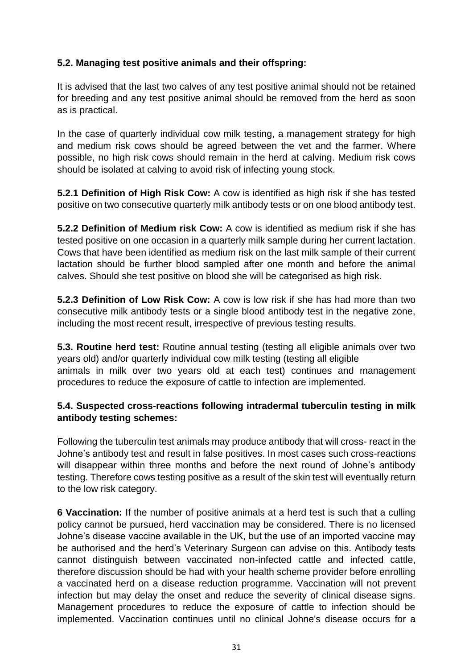## **5.2. Managing test positive animals and their offspring:**

It is advised that the last two calves of any test positive animal should not be retained for breeding and any test positive animal should be removed from the herd as soon as is practical.

In the case of quarterly individual cow milk testing, a management strategy for high and medium risk cows should be agreed between the vet and the farmer. Where possible, no high risk cows should remain in the herd at calving. Medium risk cows should be isolated at calving to avoid risk of infecting young stock.

**5.2.1 Definition of High Risk Cow:** A cow is identified as high risk if she has tested positive on two consecutive quarterly milk antibody tests or on one blood antibody test.

**5.2.2 Definition of Medium risk Cow:** A cow is identified as medium risk if she has tested positive on one occasion in a quarterly milk sample during her current lactation. Cows that have been identified as medium risk on the last milk sample of their current lactation should be further blood sampled after one month and before the animal calves. Should she test positive on blood she will be categorised as high risk.

**5.2.3 Definition of Low Risk Cow:** A cow is low risk if she has had more than two consecutive milk antibody tests or a single blood antibody test in the negative zone, including the most recent result, irrespective of previous testing results.

**5.3. Routine herd test:** Routine annual testing (testing all eligible animals over two years old) and/or quarterly individual cow milk testing (testing all eligible animals in milk over two years old at each test) continues and management procedures to reduce the exposure of cattle to infection are implemented.

## **5.4. Suspected cross-reactions following intradermal tuberculin testing in milk antibody testing schemes:**

Following the tuberculin test animals may produce antibody that will cross- react in the Johne's antibody test and result in false positives. In most cases such cross-reactions will disappear within three months and before the next round of Johne's antibody testing. Therefore cows testing positive as a result of the skin test will eventually return to the low risk category.

**6 Vaccination:** If the number of positive animals at a herd test is such that a culling policy cannot be pursued, herd vaccination may be considered. There is no licensed Johne's disease vaccine available in the UK, but the use of an imported vaccine may be authorised and the herd's Veterinary Surgeon can advise on this. Antibody tests cannot distinguish between vaccinated non-infected cattle and infected cattle, therefore discussion should be had with your health scheme provider before enrolling a vaccinated herd on a disease reduction programme. Vaccination will not prevent infection but may delay the onset and reduce the severity of clinical disease signs. Management procedures to reduce the exposure of cattle to infection should be implemented. Vaccination continues until no clinical Johne's disease occurs for a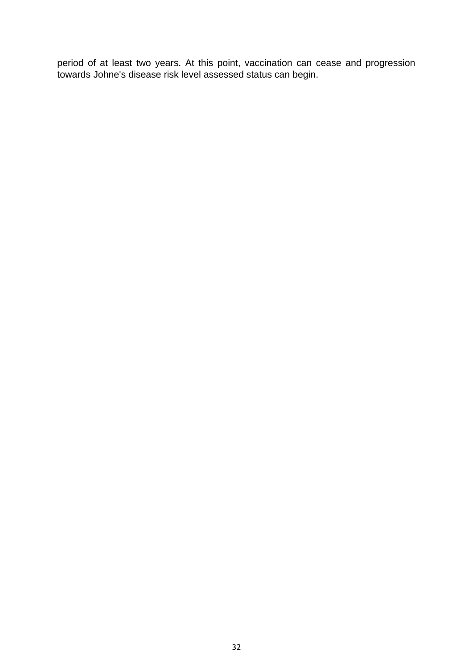<span id="page-31-0"></span>period of at least two years. At this point, vaccination can cease and progression towards Johne's disease risk level assessed status can begin.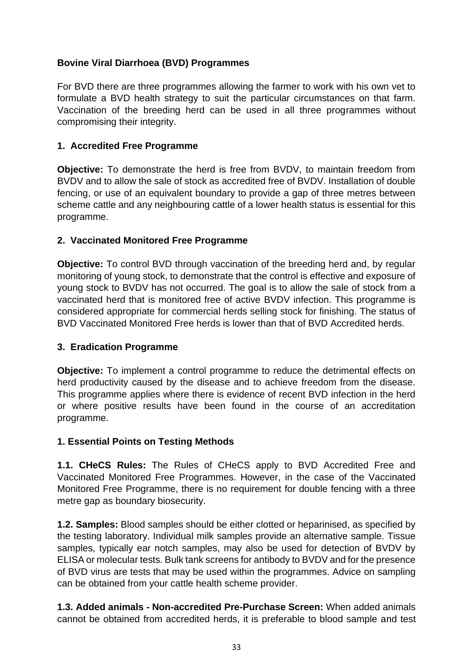### **Bovine Viral Diarrhoea (BVD) Programmes**

For BVD there are three programmes allowing the farmer to work with his own vet to formulate a BVD health strategy to suit the particular circumstances on that farm. Vaccination of the breeding herd can be used in all three programmes without compromising their integrity.

### **1. Accredited Free Programme**

**Objective:** To demonstrate the herd is free from BVDV, to maintain freedom from BVDV and to allow the sale of stock as accredited free of BVDV. Installation of double fencing, or use of an equivalent boundary to provide a gap of three metres between scheme cattle and any neighbouring cattle of a lower health status is essential for this programme.

## **2. Vaccinated Monitored Free Programme**

**Objective:** To control BVD through vaccination of the breeding herd and, by regular monitoring of young stock, to demonstrate that the control is effective and exposure of young stock to BVDV has not occurred. The goal is to allow the sale of stock from a vaccinated herd that is monitored free of active BVDV infection. This programme is considered appropriate for commercial herds selling stock for finishing. The status of BVD Vaccinated Monitored Free herds is lower than that of BVD Accredited herds.

#### **3. Eradication Programme**

**Objective:** To implement a control programme to reduce the detrimental effects on herd productivity caused by the disease and to achieve freedom from the disease. This programme applies where there is evidence of recent BVD infection in the herd or where positive results have been found in the course of an accreditation programme.

#### **1. Essential Points on Testing Methods**

**1.1. CHeCS Rules:** The Rules of CHeCS apply to BVD Accredited Free and Vaccinated Monitored Free Programmes. However, in the case of the Vaccinated Monitored Free Programme, there is no requirement for double fencing with a three metre gap as boundary biosecurity.

**1.2. Samples:** Blood samples should be either clotted or heparinised, as specified by the testing laboratory. Individual milk samples provide an alternative sample. Tissue samples, typically ear notch samples, may also be used for detection of BVDV by ELISA or molecular tests. Bulk tank screens for antibody to BVDV and for the presence of BVD virus are tests that may be used within the programmes. Advice on sampling can be obtained from your cattle health scheme provider.

**1.3. Added animals - Non-accredited Pre-Purchase Screen:** When added animals cannot be obtained from accredited herds, it is preferable to blood sample and test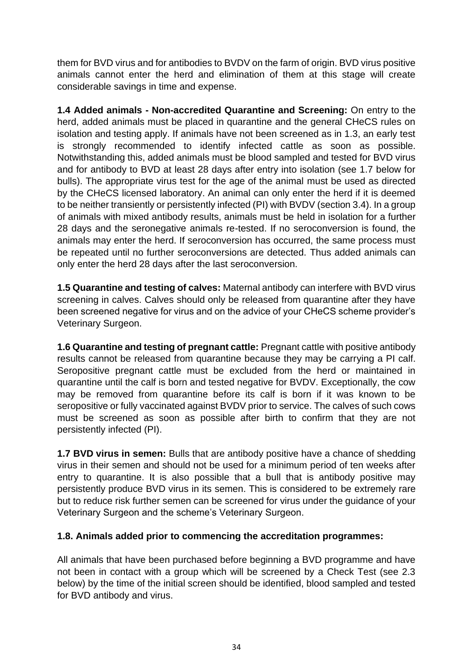them for BVD virus and for antibodies to BVDV on the farm of origin. BVD virus positive animals cannot enter the herd and elimination of them at this stage will create considerable savings in time and expense.

**1.4 Added animals - Non-accredited Quarantine and Screening:** On entry to the herd, added animals must be placed in quarantine and the general CHeCS rules on isolation and testing apply. If animals have not been screened as in 1.3, an early test is strongly recommended to identify infected cattle as soon as possible. Notwithstanding this, added animals must be blood sampled and tested for BVD virus and for antibody to BVD at least 28 days after entry into isolation (see 1.7 below for bulls). The appropriate virus test for the age of the animal must be used as directed by the CHeCS licensed laboratory. An animal can only enter the herd if it is deemed to be neither transiently or persistently infected (PI) with BVDV (section 3.4). In a group of animals with mixed antibody results, animals must be held in isolation for a further 28 days and the seronegative animals re-tested. If no seroconversion is found, the animals may enter the herd. If seroconversion has occurred, the same process must be repeated until no further seroconversions are detected. Thus added animals can only enter the herd 28 days after the last seroconversion.

**1.5 Quarantine and testing of calves:** Maternal antibody can interfere with BVD virus screening in calves. Calves should only be released from quarantine after they have been screened negative for virus and on the advice of your CHeCS scheme provider's Veterinary Surgeon.

**1.6 Quarantine and testing of pregnant cattle:** Pregnant cattle with positive antibody results cannot be released from quarantine because they may be carrying a PI calf. Seropositive pregnant cattle must be excluded from the herd or maintained in quarantine until the calf is born and tested negative for BVDV. Exceptionally, the cow may be removed from quarantine before its calf is born if it was known to be seropositive or fully vaccinated against BVDV prior to service. The calves of such cows must be screened as soon as possible after birth to confirm that they are not persistently infected (PI).

**1.7 BVD virus in semen:** Bulls that are antibody positive have a chance of shedding virus in their semen and should not be used for a minimum period of ten weeks after entry to quarantine. It is also possible that a bull that is antibody positive may persistently produce BVD virus in its semen. This is considered to be extremely rare but to reduce risk further semen can be screened for virus under the guidance of your Veterinary Surgeon and the scheme's Veterinary Surgeon.

#### **1.8. Animals added prior to commencing the accreditation programmes:**

All animals that have been purchased before beginning a BVD programme and have not been in contact with a group which will be screened by a Check Test (see 2.3 below) by the time of the initial screen should be identified, blood sampled and tested for BVD antibody and virus.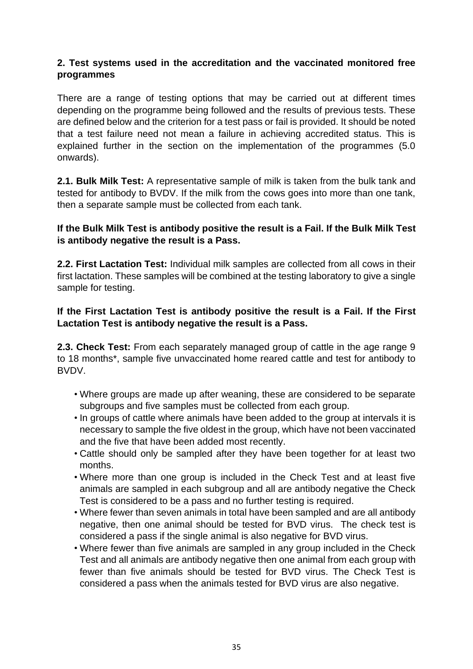#### **2. Test systems used in the accreditation and the vaccinated monitored free programmes**

There are a range of testing options that may be carried out at different times depending on the programme being followed and the results of previous tests. These are defined below and the criterion for a test pass or fail is provided. It should be noted that a test failure need not mean a failure in achieving accredited status. This is explained further in the section on the implementation of the programmes (5.0 onwards).

**2.1. Bulk Milk Test:** A representative sample of milk is taken from the bulk tank and tested for antibody to BVDV. If the milk from the cows goes into more than one tank, then a separate sample must be collected from each tank.

#### **If the Bulk Milk Test is antibody positive the result is a Fail. If the Bulk Milk Test is antibody negative the result is a Pass.**

**2.2. First Lactation Test:** Individual milk samples are collected from all cows in their first lactation. These samples will be combined at the testing laboratory to give a single sample for testing.

#### **If the First Lactation Test is antibody positive the result is a Fail. If the First Lactation Test is antibody negative the result is a Pass.**

**2.3. Check Test:** From each separately managed group of cattle in the age range 9 to 18 months\*, sample five unvaccinated home reared cattle and test for antibody to BVDV.

- Where groups are made up after weaning, these are considered to be separate subgroups and five samples must be collected from each group.
- In groups of cattle where animals have been added to the group at intervals it is necessary to sample the five oldest in the group, which have not been vaccinated and the five that have been added most recently.
- Cattle should only be sampled after they have been together for at least two months.
- Where more than one group is included in the Check Test and at least five animals are sampled in each subgroup and all are antibody negative the Check Test is considered to be a pass and no further testing is required.
- Where fewer than seven animals in total have been sampled and are all antibody negative, then one animal should be tested for BVD virus. The check test is considered a pass if the single animal is also negative for BVD virus.
- Where fewer than five animals are sampled in any group included in the Check Test and all animals are antibody negative then one animal from each group with fewer than five animals should be tested for BVD virus. The Check Test is considered a pass when the animals tested for BVD virus are also negative.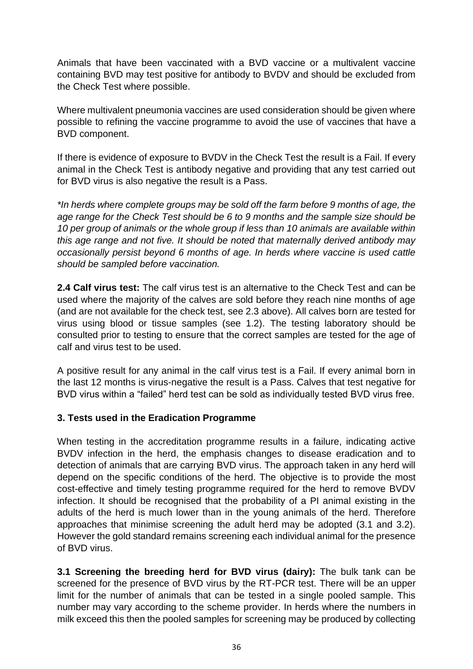Animals that have been vaccinated with a BVD vaccine or a multivalent vaccine containing BVD may test positive for antibody to BVDV and should be excluded from the Check Test where possible.

Where multivalent pneumonia vaccines are used consideration should be given where possible to refining the vaccine programme to avoid the use of vaccines that have a BVD component.

If there is evidence of exposure to BVDV in the Check Test the result is a Fail. If every animal in the Check Test is antibody negative and providing that any test carried out for BVD virus is also negative the result is a Pass.

*\*In herds where complete groups may be sold off the farm before 9 months of age, the age range for the Check Test should be 6 to 9 months and the sample size should be 10 per group of animals or the whole group if less than 10 animals are available within this age range and not five. It should be noted that maternally derived antibody may occasionally persist beyond 6 months of age. In herds where vaccine is used cattle should be sampled before vaccination.*

**2.4 Calf virus test:** The calf virus test is an alternative to the Check Test and can be used where the majority of the calves are sold before they reach nine months of age (and are not available for the check test, see 2.3 above). All calves born are tested for virus using blood or tissue samples (see 1.2). The testing laboratory should be consulted prior to testing to ensure that the correct samples are tested for the age of calf and virus test to be used.

A positive result for any animal in the calf virus test is a Fail. If every animal born in the last 12 months is virus-negative the result is a Pass. Calves that test negative for BVD virus within a "failed" herd test can be sold as individually tested BVD virus free.

#### **3. Tests used in the Eradication Programme**

When testing in the accreditation programme results in a failure, indicating active BVDV infection in the herd, the emphasis changes to disease eradication and to detection of animals that are carrying BVD virus. The approach taken in any herd will depend on the specific conditions of the herd. The objective is to provide the most cost-effective and timely testing programme required for the herd to remove BVDV infection. It should be recognised that the probability of a PI animal existing in the adults of the herd is much lower than in the young animals of the herd. Therefore approaches that minimise screening the adult herd may be adopted (3.1 and 3.2). However the gold standard remains screening each individual animal for the presence of BVD virus.

**3.1 Screening the breeding herd for BVD virus (dairy):** The bulk tank can be screened for the presence of BVD virus by the RT-PCR test. There will be an upper limit for the number of animals that can be tested in a single pooled sample. This number may vary according to the scheme provider. In herds where the numbers in milk exceed this then the pooled samples for screening may be produced by collecting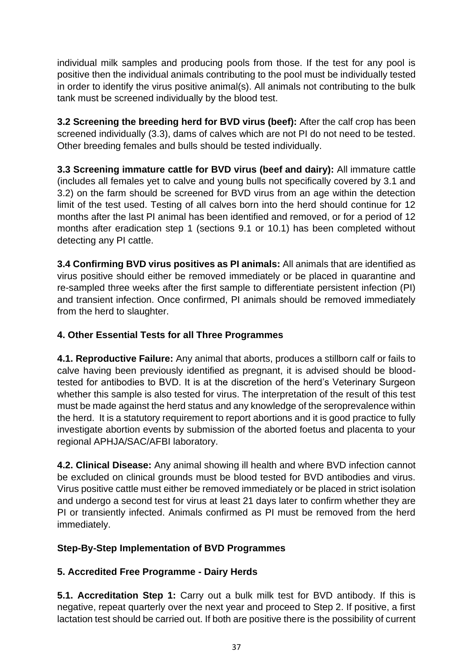individual milk samples and producing pools from those. If the test for any pool is positive then the individual animals contributing to the pool must be individually tested in order to identify the virus positive animal(s). All animals not contributing to the bulk tank must be screened individually by the blood test.

**3.2 Screening the breeding herd for BVD virus (beef):** After the calf crop has been screened individually (3.3), dams of calves which are not PI do not need to be tested. Other breeding females and bulls should be tested individually.

**3.3 Screening immature cattle for BVD virus (beef and dairy):** All immature cattle (includes all females yet to calve and young bulls not specifically covered by 3.1 and 3.2) on the farm should be screened for BVD virus from an age within the detection limit of the test used. Testing of all calves born into the herd should continue for 12 months after the last PI animal has been identified and removed, or for a period of 12 months after eradication step 1 (sections 9.1 or 10.1) has been completed without detecting any PI cattle.

**3.4 Confirming BVD virus positives as PI animals:** All animals that are identified as virus positive should either be removed immediately or be placed in quarantine and re-sampled three weeks after the first sample to differentiate persistent infection (PI) and transient infection. Once confirmed, PI animals should be removed immediately from the herd to slaughter.

# **4. Other Essential Tests for all Three Programmes**

**4.1. Reproductive Failure:** Any animal that aborts, produces a stillborn calf or fails to calve having been previously identified as pregnant, it is advised should be bloodtested for antibodies to BVD. It is at the discretion of the herd's Veterinary Surgeon whether this sample is also tested for virus. The interpretation of the result of this test must be made against the herd status and any knowledge of the seroprevalence within the herd. It is a statutory requirement to report abortions and it is good practice to fully investigate abortion events by submission of the aborted foetus and placenta to your regional APHJA/SAC/AFBI laboratory.

**4.2. Clinical Disease:** Any animal showing ill health and where BVD infection cannot be excluded on clinical grounds must be blood tested for BVD antibodies and virus. Virus positive cattle must either be removed immediately or be placed in strict isolation and undergo a second test for virus at least 21 days later to confirm whether they are PI or transiently infected. Animals confirmed as PI must be removed from the herd immediately.

#### **Step-By-Step Implementation of BVD Programmes**

# **5. Accredited Free Programme - Dairy Herds**

**5.1. Accreditation Step 1:** Carry out a bulk milk test for BVD antibody. If this is negative, repeat quarterly over the next year and proceed to Step 2. If positive, a first lactation test should be carried out. If both are positive there is the possibility of current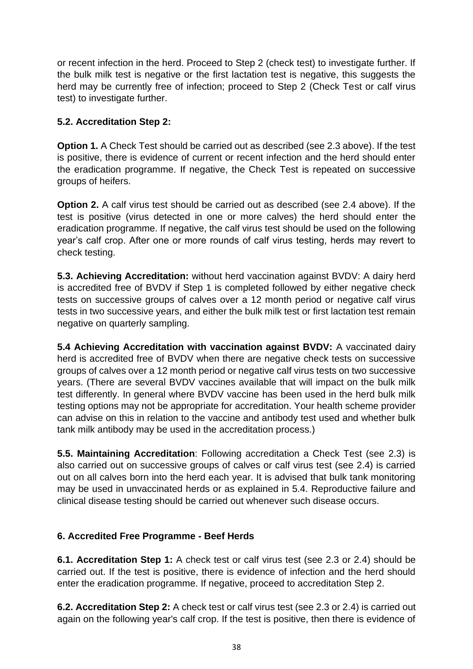or recent infection in the herd. Proceed to Step 2 (check test) to investigate further. If the bulk milk test is negative or the first lactation test is negative, this suggests the herd may be currently free of infection; proceed to Step 2 (Check Test or calf virus test) to investigate further.

## **5.2. Accreditation Step 2:**

**Option 1.** A Check Test should be carried out as described (see 2.3 above). If the test is positive, there is evidence of current or recent infection and the herd should enter the eradication programme. If negative, the Check Test is repeated on successive groups of heifers.

**Option 2.** A calf virus test should be carried out as described (see 2.4 above). If the test is positive (virus detected in one or more calves) the herd should enter the eradication programme. If negative, the calf virus test should be used on the following year's calf crop. After one or more rounds of calf virus testing, herds may revert to check testing.

**5.3. Achieving Accreditation:** without herd vaccination against BVDV: A dairy herd is accredited free of BVDV if Step 1 is completed followed by either negative check tests on successive groups of calves over a 12 month period or negative calf virus tests in two successive years, and either the bulk milk test or first lactation test remain negative on quarterly sampling.

**5.4 Achieving Accreditation with vaccination against BVDV:** A vaccinated dairy herd is accredited free of BVDV when there are negative check tests on successive groups of calves over a 12 month period or negative calf virus tests on two successive years. (There are several BVDV vaccines available that will impact on the bulk milk test differently. In general where BVDV vaccine has been used in the herd bulk milk testing options may not be appropriate for accreditation. Your health scheme provider can advise on this in relation to the vaccine and antibody test used and whether bulk tank milk antibody may be used in the accreditation process.)

**5.5. Maintaining Accreditation**: Following accreditation a Check Test (see 2.3) is also carried out on successive groups of calves or calf virus test (see 2.4) is carried out on all calves born into the herd each year. It is advised that bulk tank monitoring may be used in unvaccinated herds or as explained in 5.4. Reproductive failure and clinical disease testing should be carried out whenever such disease occurs.

#### **6. Accredited Free Programme - Beef Herds**

**6.1. Accreditation Step 1:** A check test or calf virus test (see 2.3 or 2.4) should be carried out. If the test is positive, there is evidence of infection and the herd should enter the eradication programme. If negative, proceed to accreditation Step 2.

**6.2. Accreditation Step 2:** A check test or calf virus test (see 2.3 or 2.4) is carried out again on the following year's calf crop. If the test is positive, then there is evidence of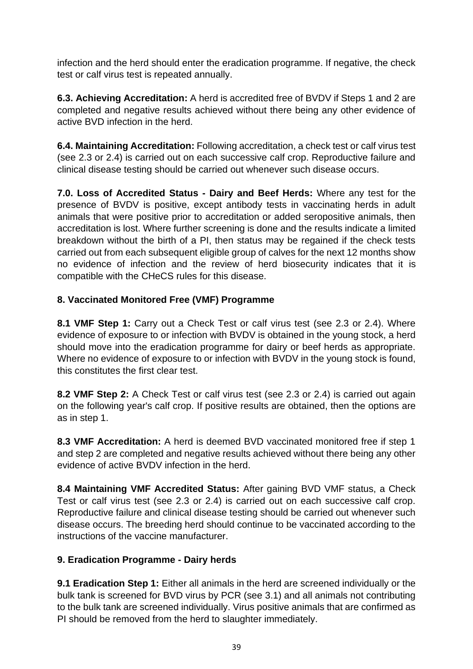infection and the herd should enter the eradication programme. If negative, the check test or calf virus test is repeated annually.

**6.3. Achieving Accreditation:** A herd is accredited free of BVDV if Steps 1 and 2 are completed and negative results achieved without there being any other evidence of active BVD infection in the herd.

**6.4. Maintaining Accreditation:** Following accreditation, a check test or calf virus test (see 2.3 or 2.4) is carried out on each successive calf crop. Reproductive failure and clinical disease testing should be carried out whenever such disease occurs.

**7.0. Loss of Accredited Status - Dairy and Beef Herds:** Where any test for the presence of BVDV is positive, except antibody tests in vaccinating herds in adult animals that were positive prior to accreditation or added seropositive animals, then accreditation is lost. Where further screening is done and the results indicate a limited breakdown without the birth of a PI, then status may be regained if the check tests carried out from each subsequent eligible group of calves for the next 12 months show no evidence of infection and the review of herd biosecurity indicates that it is compatible with the CHeCS rules for this disease.

# **8. Vaccinated Monitored Free (VMF) Programme**

**8.1 VMF Step 1:** Carry out a Check Test or calf virus test (see 2.3 or 2.4). Where evidence of exposure to or infection with BVDV is obtained in the young stock, a herd should move into the eradication programme for dairy or beef herds as appropriate. Where no evidence of exposure to or infection with BVDV in the young stock is found, this constitutes the first clear test.

**8.2 VMF Step 2:** A Check Test or calf virus test (see 2.3 or 2.4) is carried out again on the following year's calf crop. If positive results are obtained, then the options are as in step 1.

**8.3 VMF Accreditation:** A herd is deemed BVD vaccinated monitored free if step 1 and step 2 are completed and negative results achieved without there being any other evidence of active BVDV infection in the herd.

**8.4 Maintaining VMF Accredited Status:** After gaining BVD VMF status, a Check Test or calf virus test (see 2.3 or 2.4) is carried out on each successive calf crop. Reproductive failure and clinical disease testing should be carried out whenever such disease occurs. The breeding herd should continue to be vaccinated according to the instructions of the vaccine manufacturer.

# **9. Eradication Programme - Dairy herds**

**9.1 Eradication Step 1:** Either all animals in the herd are screened individually or the bulk tank is screened for BVD virus by PCR (see 3.1) and all animals not contributing to the bulk tank are screened individually. Virus positive animals that are confirmed as PI should be removed from the herd to slaughter immediately.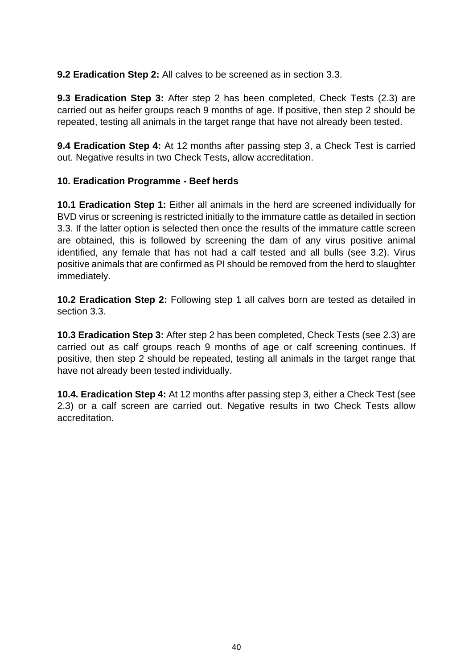**9.2 Eradication Step 2:** All calves to be screened as in section 3.3.

**9.3 Eradication Step 3:** After step 2 has been completed, Check Tests (2.3) are carried out as heifer groups reach 9 months of age. If positive, then step 2 should be repeated, testing all animals in the target range that have not already been tested.

**9.4 Eradication Step 4:** At 12 months after passing step 3, a Check Test is carried out. Negative results in two Check Tests, allow accreditation.

#### **10. Eradication Programme - Beef herds**

**10.1 Eradication Step 1:** Either all animals in the herd are screened individually for BVD virus or screening is restricted initially to the immature cattle as detailed in section 3.3. If the latter option is selected then once the results of the immature cattle screen are obtained, this is followed by screening the dam of any virus positive animal identified, any female that has not had a calf tested and all bulls (see 3.2). Virus positive animals that are confirmed as PI should be removed from the herd to slaughter immediately.

**10.2 Eradication Step 2:** Following step 1 all calves born are tested as detailed in section 3.3.

**10.3 Eradication Step 3:** After step 2 has been completed, Check Tests (see 2.3) are carried out as calf groups reach 9 months of age or calf screening continues. If positive, then step 2 should be repeated, testing all animals in the target range that have not already been tested individually.

<span id="page-39-0"></span>**10.4. Eradication Step 4:** At 12 months after passing step 3, either a Check Test (see 2.3) or a calf screen are carried out. Negative results in two Check Tests allow accreditation.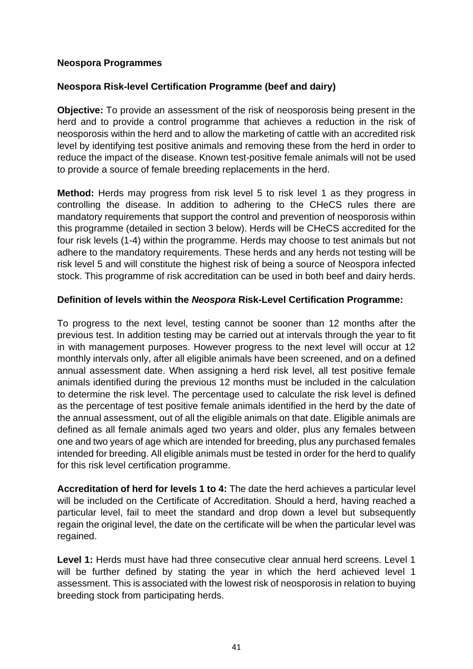#### **Neospora Programmes**

#### **Neospora Risk-level Certification Programme (beef and dairy)**

**Objective:** To provide an assessment of the risk of neosporosis being present in the herd and to provide a control programme that achieves a reduction in the risk of neosporosis within the herd and to allow the marketing of cattle with an accredited risk level by identifying test positive animals and removing these from the herd in order to reduce the impact of the disease. Known test-positive female animals will not be used to provide a source of female breeding replacements in the herd.

**Method:** Herds may progress from risk level 5 to risk level 1 as they progress in controlling the disease. In addition to adhering to the CHeCS rules there are mandatory requirements that support the control and prevention of neosporosis within this programme (detailed in section 3 below). Herds will be CHeCS accredited for the four risk levels (1-4) within the programme. Herds may choose to test animals but not adhere to the mandatory requirements. These herds and any herds not testing will be risk level 5 and will constitute the highest risk of being a source of Neospora infected stock. This programme of risk accreditation can be used in both beef and dairy herds.

#### **Definition of levels within the** *Neospora* **Risk-Level Certification Programme:**

To progress to the next level, testing cannot be sooner than 12 months after the previous test. In addition testing may be carried out at intervals through the year to fit in with management purposes. However progress to the next level will occur at 12 monthly intervals only, after all eligible animals have been screened, and on a defined annual assessment date. When assigning a herd risk level, all test positive female animals identified during the previous 12 months must be included in the calculation to determine the risk level. The percentage used to calculate the risk level is defined as the percentage of test positive female animals identified in the herd by the date of the annual assessment, out of all the eligible animals on that date. Eligible animals are defined as all female animals aged two years and older, plus any females between one and two years of age which are intended for breeding, plus any purchased females intended for breeding. All eligible animals must be tested in order for the herd to qualify for this risk level certification programme.

**Accreditation of herd for levels 1 to 4:** The date the herd achieves a particular level will be included on the Certificate of Accreditation. Should a herd, having reached a particular level, fail to meet the standard and drop down a level but subsequently regain the original level, the date on the certificate will be when the particular level was regained.

**Level 1:** Herds must have had three consecutive clear annual herd screens. Level 1 will be further defined by stating the year in which the herd achieved level 1 assessment. This is associated with the lowest risk of neosporosis in relation to buying breeding stock from participating herds.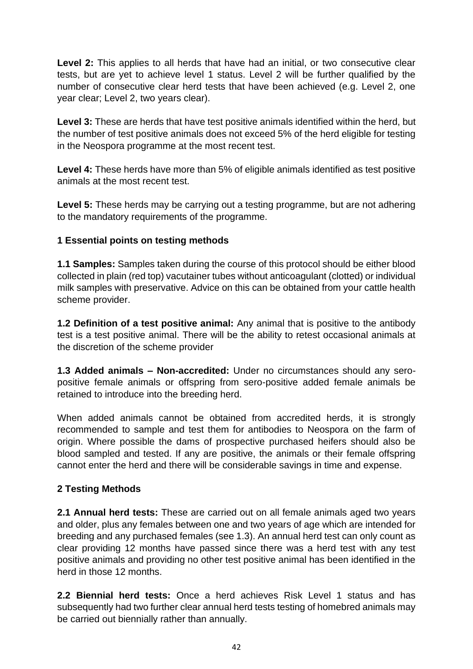Level 2: This applies to all herds that have had an initial, or two consecutive clear tests, but are yet to achieve level 1 status. Level 2 will be further qualified by the number of consecutive clear herd tests that have been achieved (e.g. Level 2, one year clear; Level 2, two years clear).

**Level 3:** These are herds that have test positive animals identified within the herd, but the number of test positive animals does not exceed 5% of the herd eligible for testing in the Neospora programme at the most recent test.

**Level 4:** These herds have more than 5% of eligible animals identified as test positive animals at the most recent test.

**Level 5:** These herds may be carrying out a testing programme, but are not adhering to the mandatory requirements of the programme.

## **1 Essential points on testing methods**

**1.1 Samples:** Samples taken during the course of this protocol should be either blood collected in plain (red top) vacutainer tubes without anticoagulant (clotted) or individual milk samples with preservative. Advice on this can be obtained from your cattle health scheme provider.

**1.2 Definition of a test positive animal:** Any animal that is positive to the antibody test is a test positive animal. There will be the ability to retest occasional animals at the discretion of the scheme provider

**1.3 Added animals – Non-accredited:** Under no circumstances should any seropositive female animals or offspring from sero-positive added female animals be retained to introduce into the breeding herd.

When added animals cannot be obtained from accredited herds, it is strongly recommended to sample and test them for antibodies to Neospora on the farm of origin. Where possible the dams of prospective purchased heifers should also be blood sampled and tested. If any are positive, the animals or their female offspring cannot enter the herd and there will be considerable savings in time and expense.

#### **2 Testing Methods**

**2.1 Annual herd tests:** These are carried out on all female animals aged two years and older, plus any females between one and two years of age which are intended for breeding and any purchased females (see 1.3). An annual herd test can only count as clear providing 12 months have passed since there was a herd test with any test positive animals and providing no other test positive animal has been identified in the herd in those 12 months.

**2.2 Biennial herd tests:** Once a herd achieves Risk Level 1 status and has subsequently had two further clear annual herd tests testing of homebred animals may be carried out biennially rather than annually.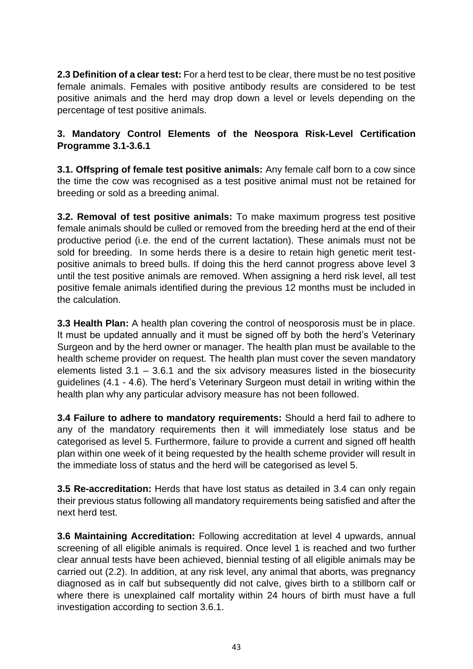**2.3 Definition of a clear test:** For a herd test to be clear, there must be no test positive female animals. Females with positive antibody results are considered to be test positive animals and the herd may drop down a level or levels depending on the percentage of test positive animals.

## **3. Mandatory Control Elements of the Neospora Risk-Level Certification Programme 3.1-3.6.1**

**3.1. Offspring of female test positive animals:** Any female calf born to a cow since the time the cow was recognised as a test positive animal must not be retained for breeding or sold as a breeding animal.

**3.2. Removal of test positive animals:** To make maximum progress test positive female animals should be culled or removed from the breeding herd at the end of their productive period (i.e. the end of the current lactation). These animals must not be sold for breeding. In some herds there is a desire to retain high genetic merit testpositive animals to breed bulls. If doing this the herd cannot progress above level 3 until the test positive animals are removed. When assigning a herd risk level, all test positive female animals identified during the previous 12 months must be included in the calculation.

**3.3 Health Plan:** A health plan covering the control of neosporosis must be in place. It must be updated annually and it must be signed off by both the herd's Veterinary Surgeon and by the herd owner or manager. The health plan must be available to the health scheme provider on request. The health plan must cover the seven mandatory elements listed 3.1 – 3.6.1 and the six advisory measures listed in the biosecurity guidelines (4.1 - 4.6). The herd's Veterinary Surgeon must detail in writing within the health plan why any particular advisory measure has not been followed.

**3.4 Failure to adhere to mandatory requirements:** Should a herd fail to adhere to any of the mandatory requirements then it will immediately lose status and be categorised as level 5. Furthermore, failure to provide a current and signed off health plan within one week of it being requested by the health scheme provider will result in the immediate loss of status and the herd will be categorised as level 5.

**3.5 Re-accreditation:** Herds that have lost status as detailed in 3.4 can only regain their previous status following all mandatory requirements being satisfied and after the next herd test.

**3.6 Maintaining Accreditation:** Following accreditation at level 4 upwards, annual screening of all eligible animals is required. Once level 1 is reached and two further clear annual tests have been achieved, biennial testing of all eligible animals may be carried out (2.2). In addition, at any risk level, any animal that aborts, was pregnancy diagnosed as in calf but subsequently did not calve, gives birth to a stillborn calf or where there is unexplained calf mortality within 24 hours of birth must have a full investigation according to section 3.6.1.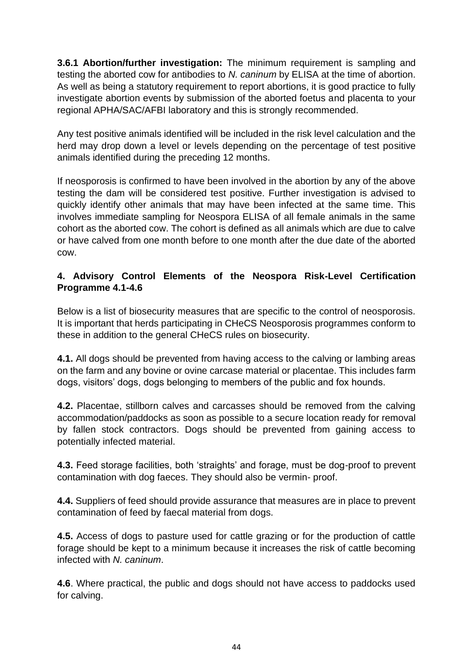**3.6.1 Abortion/further investigation:** The minimum requirement is sampling and testing the aborted cow for antibodies to *N. caninum* by ELISA at the time of abortion. As well as being a statutory requirement to report abortions, it is good practice to fully investigate abortion events by submission of the aborted foetus and placenta to your regional APHA/SAC/AFBI laboratory and this is strongly recommended.

Any test positive animals identified will be included in the risk level calculation and the herd may drop down a level or levels depending on the percentage of test positive animals identified during the preceding 12 months.

If neosporosis is confirmed to have been involved in the abortion by any of the above testing the dam will be considered test positive. Further investigation is advised to quickly identify other animals that may have been infected at the same time. This involves immediate sampling for Neospora ELISA of all female animals in the same cohort as the aborted cow. The cohort is defined as all animals which are due to calve or have calved from one month before to one month after the due date of the aborted cow.

## **4. Advisory Control Elements of the Neospora Risk-Level Certification Programme 4.1-4.6**

Below is a list of biosecurity measures that are specific to the control of neosporosis. It is important that herds participating in CHeCS Neosporosis programmes conform to these in addition to the general CHeCS rules on biosecurity.

**4.1.** All dogs should be prevented from having access to the calving or lambing areas on the farm and any bovine or ovine carcase material or placentae. This includes farm dogs, visitors' dogs, dogs belonging to members of the public and fox hounds.

**4.2.** Placentae, stillborn calves and carcasses should be removed from the calving accommodation/paddocks as soon as possible to a secure location ready for removal by fallen stock contractors. Dogs should be prevented from gaining access to potentially infected material.

**4.3.** Feed storage facilities, both 'straights' and forage, must be dog-proof to prevent contamination with dog faeces. They should also be vermin- proof.

**4.4.** Suppliers of feed should provide assurance that measures are in place to prevent contamination of feed by faecal material from dogs.

**4.5.** Access of dogs to pasture used for cattle grazing or for the production of cattle forage should be kept to a minimum because it increases the risk of cattle becoming infected with *N. caninum*.

**4.6**. Where practical, the public and dogs should not have access to paddocks used for calving.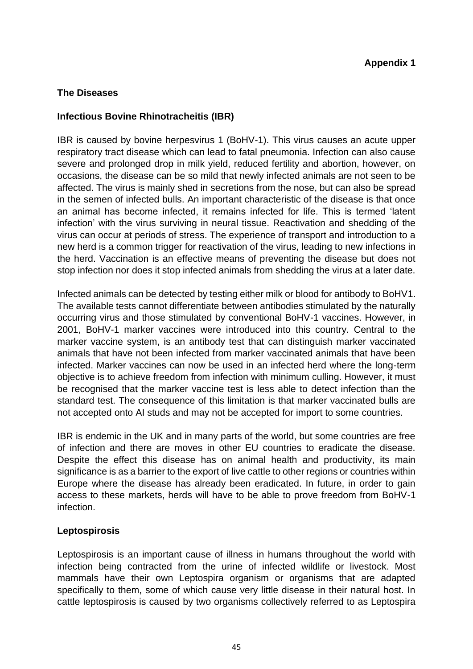#### <span id="page-44-0"></span>**The Diseases**

#### **Infectious Bovine Rhinotracheitis (IBR)**

IBR is caused by bovine herpesvirus 1 (BoHV-1). This virus causes an acute upper respiratory tract disease which can lead to fatal pneumonia. Infection can also cause severe and prolonged drop in milk yield, reduced fertility and abortion, however, on occasions, the disease can be so mild that newly infected animals are not seen to be affected. The virus is mainly shed in secretions from the nose, but can also be spread in the semen of infected bulls. An important characteristic of the disease is that once an animal has become infected, it remains infected for life. This is termed 'latent infection' with the virus surviving in neural tissue. Reactivation and shedding of the virus can occur at periods of stress. The experience of transport and introduction to a new herd is a common trigger for reactivation of the virus, leading to new infections in the herd. Vaccination is an effective means of preventing the disease but does not stop infection nor does it stop infected animals from shedding the virus at a later date.

Infected animals can be detected by testing either milk or blood for antibody to BoHV1. The available tests cannot differentiate between antibodies stimulated by the naturally occurring virus and those stimulated by conventional BoHV-1 vaccines. However, in 2001, BoHV-1 marker vaccines were introduced into this country. Central to the marker vaccine system, is an antibody test that can distinguish marker vaccinated animals that have not been infected from marker vaccinated animals that have been infected. Marker vaccines can now be used in an infected herd where the long-term objective is to achieve freedom from infection with minimum culling. However, it must be recognised that the marker vaccine test is less able to detect infection than the standard test. The consequence of this limitation is that marker vaccinated bulls are not accepted onto AI studs and may not be accepted for import to some countries.

IBR is endemic in the UK and in many parts of the world, but some countries are free of infection and there are moves in other EU countries to eradicate the disease. Despite the effect this disease has on animal health and productivity, its main significance is as a barrier to the export of live cattle to other regions or countries within Europe where the disease has already been eradicated. In future, in order to gain access to these markets, herds will have to be able to prove freedom from BoHV-1 infection.

#### **Leptospirosis**

Leptospirosis is an important cause of illness in humans throughout the world with infection being contracted from the urine of infected wildlife or livestock. Most mammals have their own Leptospira organism or organisms that are adapted specifically to them, some of which cause very little disease in their natural host. In cattle leptospirosis is caused by two organisms collectively referred to as Leptospira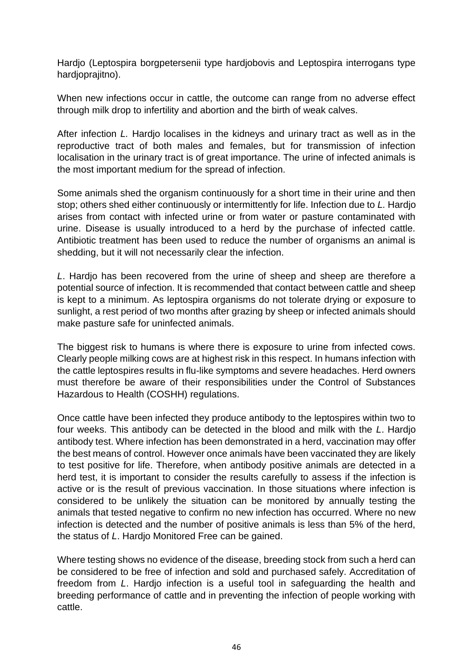Hardjo (Leptospira borgpetersenii type hardjobovis and Leptospira interrogans type hardjoprajitno).

When new infections occur in cattle, the outcome can range from no adverse effect through milk drop to infertility and abortion and the birth of weak calves.

After infection *L.* Hardjo localises in the kidneys and urinary tract as well as in the reproductive tract of both males and females, but for transmission of infection localisation in the urinary tract is of great importance. The urine of infected animals is the most important medium for the spread of infection.

Some animals shed the organism continuously for a short time in their urine and then stop; others shed either continuously or intermittently for life. Infection due to *L.* Hardjo arises from contact with infected urine or from water or pasture contaminated with urine. Disease is usually introduced to a herd by the purchase of infected cattle. Antibiotic treatment has been used to reduce the number of organisms an animal is shedding, but it will not necessarily clear the infection.

*L*. Hardjo has been recovered from the urine of sheep and sheep are therefore a potential source of infection. It is recommended that contact between cattle and sheep is kept to a minimum. As leptospira organisms do not tolerate drying or exposure to sunlight, a rest period of two months after grazing by sheep or infected animals should make pasture safe for uninfected animals.

The biggest risk to humans is where there is exposure to urine from infected cows. Clearly people milking cows are at highest risk in this respect. In humans infection with the cattle leptospires results in flu-like symptoms and severe headaches. Herd owners must therefore be aware of their responsibilities under the Control of Substances Hazardous to Health (COSHH) regulations.

Once cattle have been infected they produce antibody to the leptospires within two to four weeks. This antibody can be detected in the blood and milk with the *L*. Hardjo antibody test. Where infection has been demonstrated in a herd, vaccination may offer the best means of control. However once animals have been vaccinated they are likely to test positive for life. Therefore, when antibody positive animals are detected in a herd test, it is important to consider the results carefully to assess if the infection is active or is the result of previous vaccination. In those situations where infection is considered to be unlikely the situation can be monitored by annually testing the animals that tested negative to confirm no new infection has occurred. Where no new infection is detected and the number of positive animals is less than 5% of the herd, the status of *L*. Hardjo Monitored Free can be gained.

Where testing shows no evidence of the disease, breeding stock from such a herd can be considered to be free of infection and sold and purchased safely. Accreditation of freedom from *L*. Hardjo infection is a useful tool in safeguarding the health and breeding performance of cattle and in preventing the infection of people working with cattle.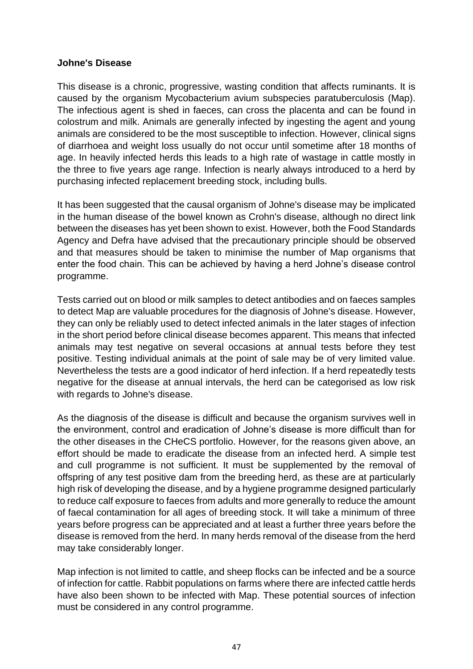#### **Johne's Disease**

This disease is a chronic, progressive, wasting condition that affects ruminants. It is caused by the organism Mycobacterium avium subspecies paratuberculosis (Map). The infectious agent is shed in faeces, can cross the placenta and can be found in colostrum and milk. Animals are generally infected by ingesting the agent and young animals are considered to be the most susceptible to infection. However, clinical signs of diarrhoea and weight loss usually do not occur until sometime after 18 months of age. In heavily infected herds this leads to a high rate of wastage in cattle mostly in the three to five years age range. Infection is nearly always introduced to a herd by purchasing infected replacement breeding stock, including bulls.

It has been suggested that the causal organism of Johne's disease may be implicated in the human disease of the bowel known as Crohn's disease, although no direct link between the diseases has yet been shown to exist. However, both the Food Standards Agency and Defra have advised that the precautionary principle should be observed and that measures should be taken to minimise the number of Map organisms that enter the food chain. This can be achieved by having a herd Johne's disease control programme.

Tests carried out on blood or milk samples to detect antibodies and on faeces samples to detect Map are valuable procedures for the diagnosis of Johne's disease. However, they can only be reliably used to detect infected animals in the later stages of infection in the short period before clinical disease becomes apparent. This means that infected animals may test negative on several occasions at annual tests before they test positive. Testing individual animals at the point of sale may be of very limited value. Nevertheless the tests are a good indicator of herd infection. If a herd repeatedly tests negative for the disease at annual intervals, the herd can be categorised as low risk with regards to Johne's disease.

As the diagnosis of the disease is difficult and because the organism survives well in the environment, control and eradication of Johne's disease is more difficult than for the other diseases in the CHeCS portfolio. However, for the reasons given above, an effort should be made to eradicate the disease from an infected herd. A simple test and cull programme is not sufficient. It must be supplemented by the removal of offspring of any test positive dam from the breeding herd, as these are at particularly high risk of developing the disease, and by a hygiene programme designed particularly to reduce calf exposure to faeces from adults and more generally to reduce the amount of faecal contamination for all ages of breeding stock. It will take a minimum of three years before progress can be appreciated and at least a further three years before the disease is removed from the herd. In many herds removal of the disease from the herd may take considerably longer.

Map infection is not limited to cattle, and sheep flocks can be infected and be a source of infection for cattle. Rabbit populations on farms where there are infected cattle herds have also been shown to be infected with Map. These potential sources of infection must be considered in any control programme.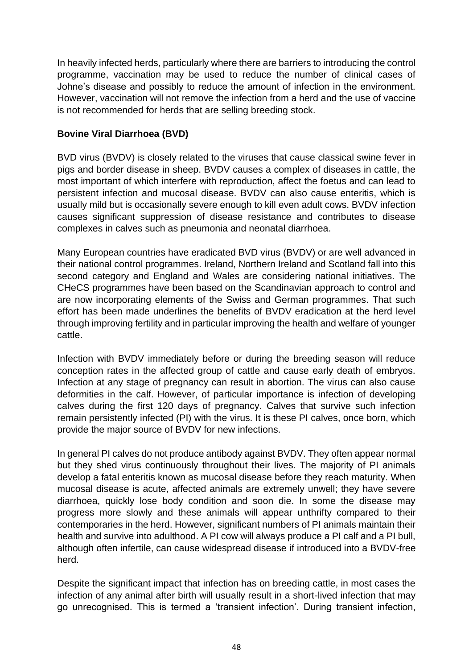In heavily infected herds, particularly where there are barriers to introducing the control programme, vaccination may be used to reduce the number of clinical cases of Johne's disease and possibly to reduce the amount of infection in the environment. However, vaccination will not remove the infection from a herd and the use of vaccine is not recommended for herds that are selling breeding stock.

#### **Bovine Viral Diarrhoea (BVD)**

BVD virus (BVDV) is closely related to the viruses that cause classical swine fever in pigs and border disease in sheep. BVDV causes a complex of diseases in cattle, the most important of which interfere with reproduction, affect the foetus and can lead to persistent infection and mucosal disease. BVDV can also cause enteritis, which is usually mild but is occasionally severe enough to kill even adult cows. BVDV infection causes significant suppression of disease resistance and contributes to disease complexes in calves such as pneumonia and neonatal diarrhoea.

Many European countries have eradicated BVD virus (BVDV) or are well advanced in their national control programmes. Ireland, Northern Ireland and Scotland fall into this second category and England and Wales are considering national initiatives. The CHeCS programmes have been based on the Scandinavian approach to control and are now incorporating elements of the Swiss and German programmes. That such effort has been made underlines the benefits of BVDV eradication at the herd level through improving fertility and in particular improving the health and welfare of younger cattle.

Infection with BVDV immediately before or during the breeding season will reduce conception rates in the affected group of cattle and cause early death of embryos. Infection at any stage of pregnancy can result in abortion. The virus can also cause deformities in the calf. However, of particular importance is infection of developing calves during the first 120 days of pregnancy. Calves that survive such infection remain persistently infected (PI) with the virus. It is these PI calves, once born, which provide the major source of BVDV for new infections.

In general PI calves do not produce antibody against BVDV. They often appear normal but they shed virus continuously throughout their lives. The majority of PI animals develop a fatal enteritis known as mucosal disease before they reach maturity. When mucosal disease is acute, affected animals are extremely unwell; they have severe diarrhoea, quickly lose body condition and soon die. In some the disease may progress more slowly and these animals will appear unthrifty compared to their contemporaries in the herd. However, significant numbers of PI animals maintain their health and survive into adulthood. A PI cow will always produce a PI calf and a PI bull, although often infertile, can cause widespread disease if introduced into a BVDV-free herd.

Despite the significant impact that infection has on breeding cattle, in most cases the infection of any animal after birth will usually result in a short-lived infection that may go unrecognised. This is termed a 'transient infection'. During transient infection,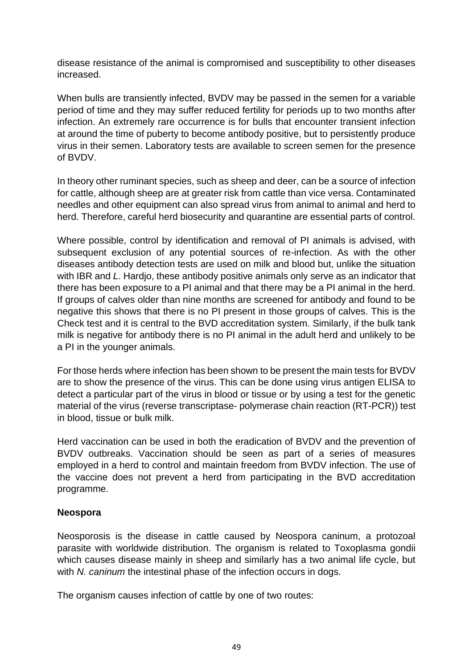disease resistance of the animal is compromised and susceptibility to other diseases increased.

When bulls are transiently infected, BVDV may be passed in the semen for a variable period of time and they may suffer reduced fertility for periods up to two months after infection. An extremely rare occurrence is for bulls that encounter transient infection at around the time of puberty to become antibody positive, but to persistently produce virus in their semen. Laboratory tests are available to screen semen for the presence of BVDV.

In theory other ruminant species, such as sheep and deer, can be a source of infection for cattle, although sheep are at greater risk from cattle than vice versa. Contaminated needles and other equipment can also spread virus from animal to animal and herd to herd. Therefore, careful herd biosecurity and quarantine are essential parts of control.

Where possible, control by identification and removal of PI animals is advised, with subsequent exclusion of any potential sources of re-infection. As with the other diseases antibody detection tests are used on milk and blood but, unlike the situation with IBR and *L*. Hardjo, these antibody positive animals only serve as an indicator that there has been exposure to a PI animal and that there may be a PI animal in the herd. If groups of calves older than nine months are screened for antibody and found to be negative this shows that there is no PI present in those groups of calves. This is the Check test and it is central to the BVD accreditation system. Similarly, if the bulk tank milk is negative for antibody there is no PI animal in the adult herd and unlikely to be a PI in the younger animals.

For those herds where infection has been shown to be present the main tests for BVDV are to show the presence of the virus. This can be done using virus antigen ELISA to detect a particular part of the virus in blood or tissue or by using a test for the genetic material of the virus (reverse transcriptase- polymerase chain reaction (RT-PCR)) test in blood, tissue or bulk milk.

Herd vaccination can be used in both the eradication of BVDV and the prevention of BVDV outbreaks. Vaccination should be seen as part of a series of measures employed in a herd to control and maintain freedom from BVDV infection. The use of the vaccine does not prevent a herd from participating in the BVD accreditation programme.

#### **Neospora**

Neosporosis is the disease in cattle caused by Neospora caninum, a protozoal parasite with worldwide distribution. The organism is related to Toxoplasma gondii which causes disease mainly in sheep and similarly has a two animal life cycle, but with *N. caninum* the intestinal phase of the infection occurs in dogs.

The organism causes infection of cattle by one of two routes: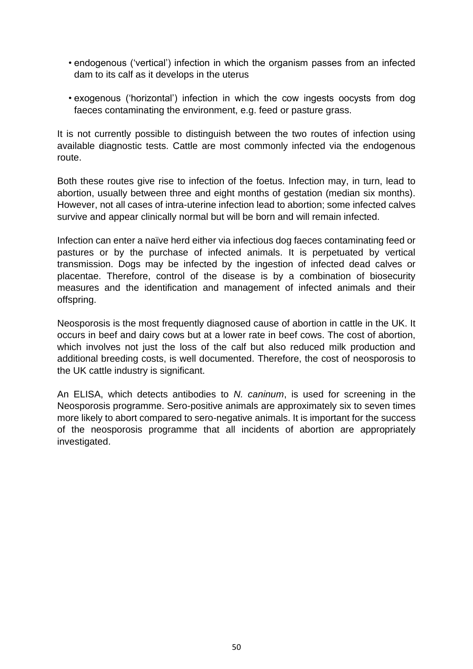- endogenous ('vertical') infection in which the organism passes from an infected dam to its calf as it develops in the uterus
- exogenous ('horizontal') infection in which the cow ingests oocysts from dog faeces contaminating the environment, e.g. feed or pasture grass.

It is not currently possible to distinguish between the two routes of infection using available diagnostic tests. Cattle are most commonly infected via the endogenous route.

Both these routes give rise to infection of the foetus. Infection may, in turn, lead to abortion, usually between three and eight months of gestation (median six months). However, not all cases of intra-uterine infection lead to abortion; some infected calves survive and appear clinically normal but will be born and will remain infected.

Infection can enter a naïve herd either via infectious dog faeces contaminating feed or pastures or by the purchase of infected animals. It is perpetuated by vertical transmission. Dogs may be infected by the ingestion of infected dead calves or placentae. Therefore, control of the disease is by a combination of biosecurity measures and the identification and management of infected animals and their offspring.

Neosporosis is the most frequently diagnosed cause of abortion in cattle in the UK. It occurs in beef and dairy cows but at a lower rate in beef cows. The cost of abortion, which involves not just the loss of the calf but also reduced milk production and additional breeding costs, is well documented. Therefore, the cost of neosporosis to the UK cattle industry is significant.

<span id="page-49-0"></span>An ELISA, which detects antibodies to *N. caninum*, is used for screening in the Neosporosis programme. Sero-positive animals are approximately six to seven times more likely to abort compared to sero-negative animals. It is important for the success of the neosporosis programme that all incidents of abortion are appropriately investigated.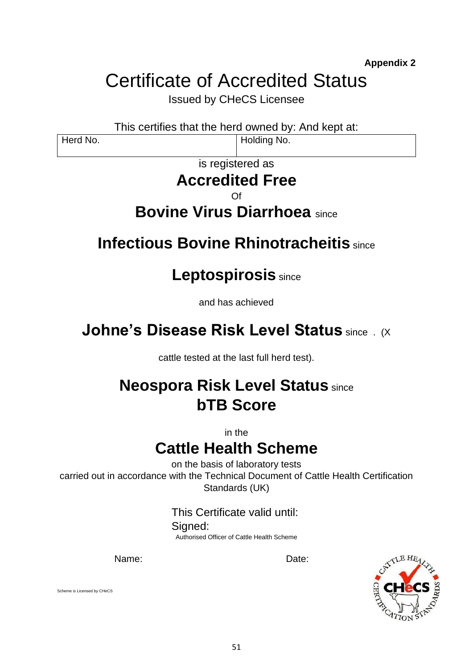**Appendix 2**

# Certificate of Accredited Status

Issued by CHeCS Licensee

This certifies that the herd owned by: And kept at:

Herd No. **Holding No. Holding No.** 

# is registered as

# **Accredited Free**

Of

# **Bovine Virus Diarrhoea** since

# **Infectious Bovine Rhinotracheitis** since

# **Leptospirosis** since

and has achieved

# **Johne's Disease Risk Level Status since . (X)**

cattle tested at the last full herd test).

# **Neospora Risk Level Status** since **bTB Score**

in the

# **Cattle Health Scheme**

on the basis of laboratory tests carried out in accordance with the Technical Document of Cattle Health Certification Standards (UK)

> This Certificate valid until: Signed: Authorised Officer of Cattle Health Scheme

Name: Date:



Scheme is Licensed by CHeCS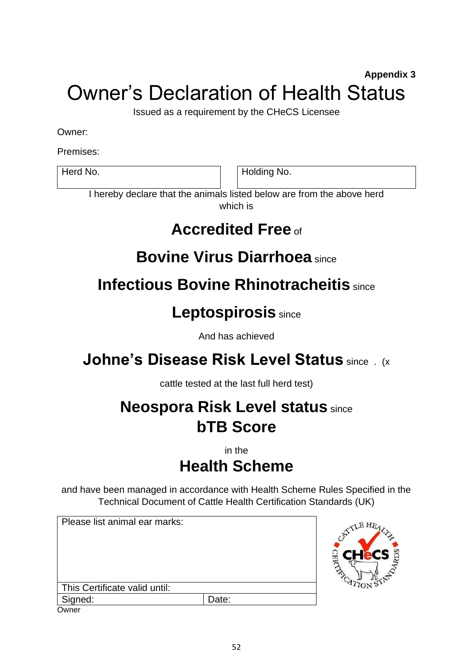# <span id="page-51-0"></span>**Appendix 3** Owner's Declaration of Health Status

Issued as a requirement by the CHeCS Licensee

Owner:

Premises:

Herd No. **Holding No.** Holding No.

I hereby declare that the animals listed below are from the above herd which is

# **Accredited Free** of

# **Bovine Virus Diarrhoea** since

# **Infectious Bovine Rhinotracheitis** since

# **Leptospirosis** since

And has achieved

# **Johne's Disease Risk Level Status since . (x**

cattle tested at the last full herd test)

# **Neospora Risk Level status** since **bTB Score**

in the

# **Health Scheme**

and have been managed in accordance with Health Scheme Rules Specified in the Technical Document of Cattle Health Certification Standards (UK)

<span id="page-51-1"></span>Please list animal ear marks: This Certificate valid until: Signed:  $|$ Date: **Owner** 

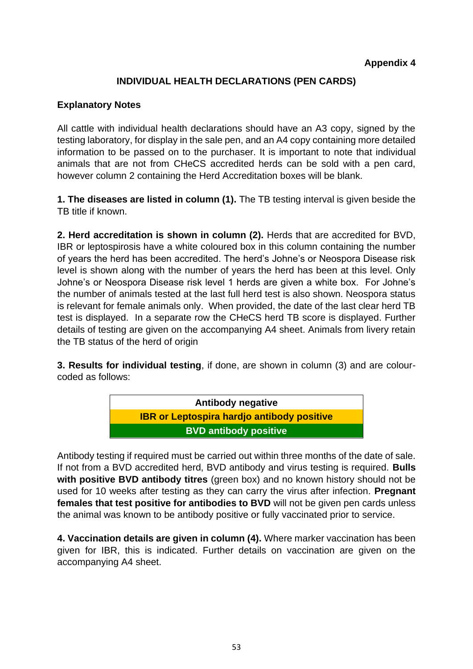## **INDIVIDUAL HEALTH DECLARATIONS (PEN CARDS)**

### **Explanatory Notes**

All cattle with individual health declarations should have an A3 copy, signed by the testing laboratory, for display in the sale pen, and an A4 copy containing more detailed information to be passed on to the purchaser. It is important to note that individual animals that are not from CHeCS accredited herds can be sold with a pen card, however column 2 containing the Herd Accreditation boxes will be blank.

**1. The diseases are listed in column (1).** The TB testing interval is given beside the TB title if known.

**2. Herd accreditation is shown in column (2).** Herds that are accredited for BVD, IBR or leptospirosis have a white coloured box in this column containing the number of years the herd has been accredited. The herd's Johne's or Neospora Disease risk level is shown along with the number of years the herd has been at this level. Only Johne's or Neospora Disease risk level 1 herds are given a white box. For Johne's the number of animals tested at the last full herd test is also shown. Neospora status is relevant for female animals only. When provided, the date of the last clear herd TB test is displayed. In a separate row the CHeCS herd TB score is displayed. Further details of testing are given on the accompanying A4 sheet. Animals from livery retain the TB status of the herd of origin

**3. Results for individual testing**, if done, are shown in column (3) and are colourcoded as follows:



Antibody testing if required must be carried out within three months of the date of sale. If not from a BVD accredited herd, BVD antibody and virus testing is required. **Bulls with positive BVD antibody titres** (green box) and no known history should not be used for 10 weeks after testing as they can carry the virus after infection. **Pregnant females that test positive for antibodies to BVD** will not be given pen cards unless the animal was known to be antibody positive or fully vaccinated prior to service.

**4. Vaccination details are given in column (4).** Where marker vaccination has been given for IBR, this is indicated. Further details on vaccination are given on the accompanying A4 sheet.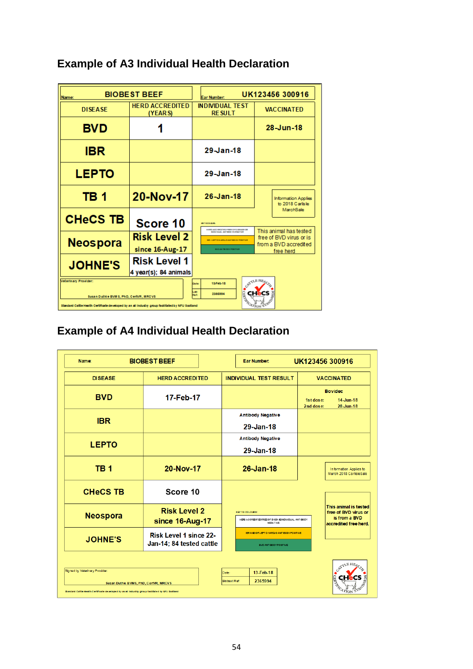| Name:                                                                                                                                                                                                                                                    | <b>BIOBEST BEEF</b>                          | UK123456 300916<br>Ear Number:                                            |                                                                            |  |
|----------------------------------------------------------------------------------------------------------------------------------------------------------------------------------------------------------------------------------------------------------|----------------------------------------------|---------------------------------------------------------------------------|----------------------------------------------------------------------------|--|
| <b>DISEASE</b>                                                                                                                                                                                                                                           | <b>HERD ACCREDITED</b><br>(YEAR S)           | <b>INDIVIDUAL TEST</b><br><b>RESULT</b>                                   | <b>VACCINATED</b>                                                          |  |
| <b>BVD</b>                                                                                                                                                                                                                                               |                                              |                                                                           | 28-Jun-18                                                                  |  |
| IBR                                                                                                                                                                                                                                                      |                                              | $29$ -Jan-18                                                              |                                                                            |  |
| <b>LEPTO</b>                                                                                                                                                                                                                                             |                                              | 29-Jan-18                                                                 |                                                                            |  |
| TB <sub>1</sub>                                                                                                                                                                                                                                          | 20-Nov-17                                    | $26 - Jan - 18$                                                           | <b>Information Applies</b><br>to 2018 Carlisle                             |  |
| <b>CHeCS TB</b>                                                                                                                                                                                                                                          | Score 10                                     | <b>MATION CLIPS</b><br><b>ERIO ACC REDITED FREE OFD BRASE OR</b>          | MarchSale                                                                  |  |
| <b>Neospora</b>                                                                                                                                                                                                                                          | <b>Risk Level 2</b>                          | NON DUAL ANTIKOD YN FOATIVE<br><b>BRITISHTO HAROJO ANTIBO OV POSITIVE</b> | This animal has tested<br>free of BVD virus or is<br>from a BVD accredited |  |
|                                                                                                                                                                                                                                                          | since 16-Aug-17                              | <b>BYD AN THIODY POSITIVE</b><br>free herd                                |                                                                            |  |
| <b>JOHNE'S</b>                                                                                                                                                                                                                                           | <b>Risk Level 1</b><br>4 year(s); 84 animals |                                                                           |                                                                            |  |
| CATTLE HE<br>Veterinary Provider:<br>13 Feb-18<br>Da te:<br>ab.<br>2365994<br><b>Matu</b><br>Sucan Duthie BVM S, PhD, CertVR, MRCVS<br>$c_{4750N5}$<br>Standard Cattle Health Certificate developed by an all inductry group facilitated by NFU Scotland |                                              |                                                                           |                                                                            |  |

# **Example of A3 Individual Health Declaration**

# **Example of A4 Individual Health Declaration**

| <b>Name:</b>                                                                                                                                                                 | <b>BIOBEST BEEF</b>                                | UK123456 300916<br><b>Ear Number:</b>                                                          |                                                                                         |  |
|------------------------------------------------------------------------------------------------------------------------------------------------------------------------------|----------------------------------------------------|------------------------------------------------------------------------------------------------|-----------------------------------------------------------------------------------------|--|
| <b>DISEASE</b>                                                                                                                                                               | <b>HERD ACCREDITED</b>                             | <b>INDIVIDUAL TEST RESULT</b>                                                                  | <b>VACCINATED</b>                                                                       |  |
| <b>BVD</b>                                                                                                                                                                   | 17-Feb-17                                          |                                                                                                | <b>Bovidec</b><br>$14$ -Jun-18<br>1st dose:<br>2nd dose:<br>28 Jun 18                   |  |
| <b>IBR</b>                                                                                                                                                                   |                                                    | <b>Antibody Negative</b>                                                                       |                                                                                         |  |
|                                                                                                                                                                              |                                                    | 29-Jan-18                                                                                      |                                                                                         |  |
| <b>LEPTO</b>                                                                                                                                                                 |                                                    | <b>Antibody Negative</b>                                                                       |                                                                                         |  |
|                                                                                                                                                                              |                                                    | 29-Jan-18                                                                                      |                                                                                         |  |
| <b>TB1</b>                                                                                                                                                                   | 20-Nov-17                                          | $26 - Jan - 18$                                                                                | In formation Applies to<br>March 2018 CarlisleSale                                      |  |
| <b>CHeCS TB</b>                                                                                                                                                              | Score 10                                           |                                                                                                |                                                                                         |  |
| <b>Neospora</b>                                                                                                                                                              | <b>Risk Level 2</b><br>since 16-Aug-17             | <b>KEY TO COLOURS:</b><br>HERD A CCREDIT ED FREE OF DI \$5A SEINDIVIDUAL ANT IBODY<br>NB9ATIVE | This animal is tested<br>free of BVD virus or<br>is from a BVD<br>accredited free herd. |  |
| <b>JOHNE'S</b>                                                                                                                                                               | Risk Level 1 since 22-<br>Jan-14; 84 tested cattle | IBRANDIORLEPTO HARDJO ANTIBODY POSITIVE<br>BVD ANTIBODY POSITIVE                               |                                                                                         |  |
| Signed by Veterinary Provider:<br>Susan Duthie BVMS, PhD, CertVR, MRCVS<br>Standard Cattle Health Certificate developed by an all industry group facilitated by NFU Scotland |                                                    | 13-Feb-18<br>Date:<br>2365994<br>Biobest Ref:                                                  | CATTLE HE<br>$C_{1700N}$                                                                |  |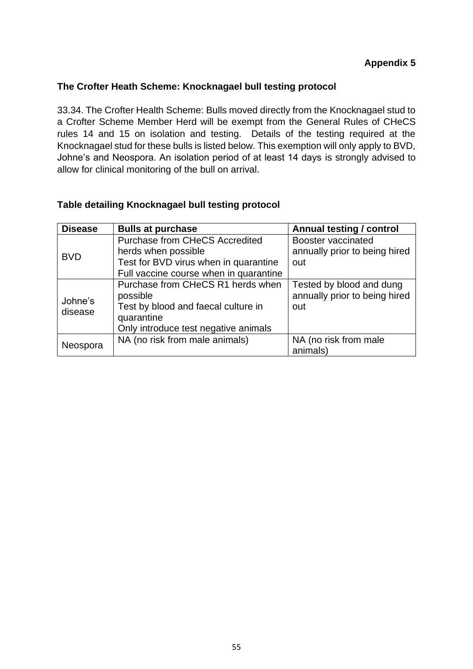#### <span id="page-54-0"></span>**The Crofter Heath Scheme: Knocknagael bull testing protocol**

33.34. The Crofter Health Scheme: Bulls moved directly from the Knocknagael stud to a Crofter Scheme Member Herd will be exempt from the General Rules of CHeCS rules 14 and 15 on isolation and testing. Details of the testing required at the Knocknagael stud for these bulls is listed below. This exemption will only apply to BVD, Johne's and Neospora. An isolation period of at least 14 days is strongly advised to allow for clinical monitoring of the bull on arrival.

#### **Table detailing Knocknagael bull testing protocol**

| <b>Disease</b>     | <b>Bulls at purchase</b>                                                                                                                   | Annual testing / control                                         |
|--------------------|--------------------------------------------------------------------------------------------------------------------------------------------|------------------------------------------------------------------|
|                    | <b>Purchase from CHeCS Accredited</b>                                                                                                      | Booster vaccinated                                               |
| <b>BVD</b>         | herds when possible                                                                                                                        | annually prior to being hired                                    |
|                    | Test for BVD virus when in quarantine                                                                                                      | out                                                              |
|                    | Full vaccine course when in quarantine                                                                                                     |                                                                  |
| Johne's<br>disease | Purchase from CHeCS R1 herds when<br>possible<br>Test by blood and faecal culture in<br>quarantine<br>Only introduce test negative animals | Tested by blood and dung<br>annually prior to being hired<br>out |
| Neospora           | NA (no risk from male animals)                                                                                                             | NA (no risk from male<br>animals)                                |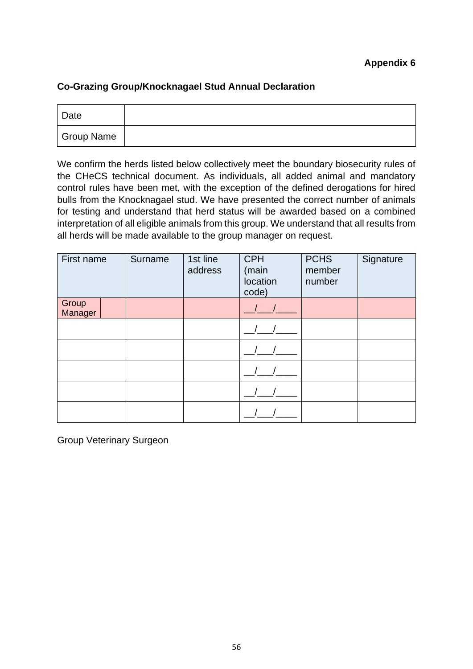#### **Appendix 6**

#### <span id="page-55-0"></span>**Co-Grazing Group/Knocknagael Stud Annual Declaration**

| <b>Date</b> |  |
|-------------|--|
| Group Name  |  |

We confirm the herds listed below collectively meet the boundary biosecurity rules of the CHeCS technical document. As individuals, all added animal and mandatory control rules have been met, with the exception of the defined derogations for hired bulls from the Knocknagael stud. We have presented the correct number of animals for testing and understand that herd status will be awarded based on a combined interpretation of all eligible animals from this group. We understand that all results from all herds will be made available to the group manager on request.

| First name       | Surname | 1st line<br>address | <b>CPH</b><br>(main<br>location<br>code) | <b>PCHS</b><br>member<br>number | Signature |
|------------------|---------|---------------------|------------------------------------------|---------------------------------|-----------|
| Group<br>Manager |         |                     |                                          |                                 |           |
|                  |         |                     |                                          |                                 |           |
|                  |         |                     |                                          |                                 |           |
|                  |         |                     |                                          |                                 |           |
|                  |         |                     |                                          |                                 |           |
|                  |         |                     |                                          |                                 |           |

Group Veterinary Surgeon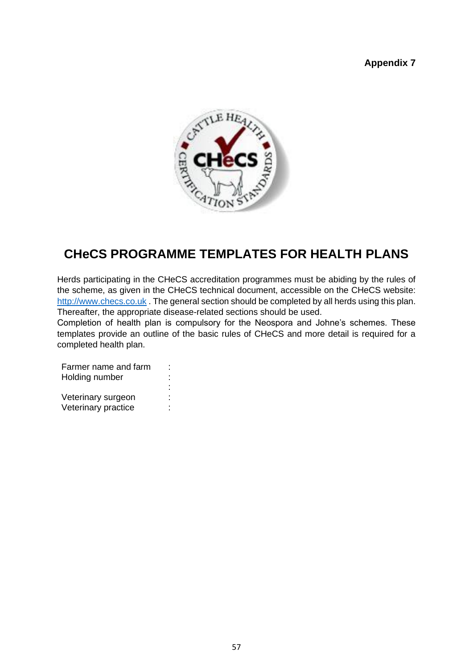#### **Appendix 7**

<span id="page-56-0"></span>

# **CHeCS PROGRAMME TEMPLATES FOR HEALTH PLANS**

Herds participating in the CHeCS accreditation programmes must be abiding by the rules of the scheme, as given in the CHeCS technical document, accessible on the CHeCS website: [http://www.checs.co.uk](http://www.checs.co.uk/) The general section should be completed by all herds using this plan. Thereafter, the appropriate disease-related sections should be used.

Completion of health plan is compulsory for the Neospora and Johne's schemes. These templates provide an outline of the basic rules of CHeCS and more detail is required for a completed health plan.

Farmer name and farm : Holding number : Veterinary surgeon : Veterinary practice :

: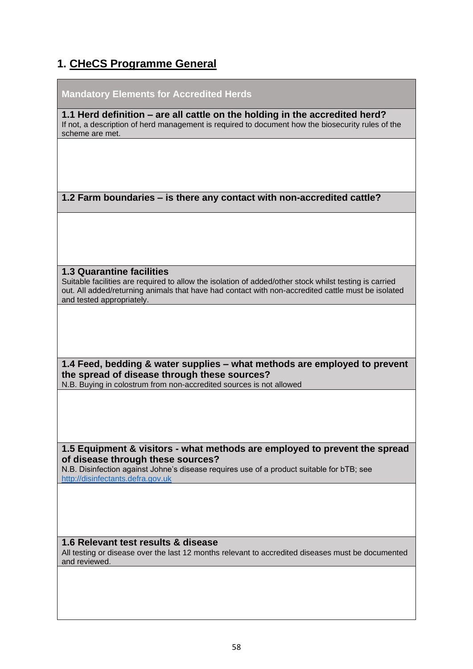# **1. CHeCS Programme General**

| <b>Mandatory Elements for Accredited Herds</b>                                                                                                                                                                                                                                |
|-------------------------------------------------------------------------------------------------------------------------------------------------------------------------------------------------------------------------------------------------------------------------------|
| 1.1 Herd definition – are all cattle on the holding in the accredited herd?<br>If not, a description of herd management is required to document how the biosecurity rules of the<br>scheme are met.                                                                           |
|                                                                                                                                                                                                                                                                               |
|                                                                                                                                                                                                                                                                               |
| 1.2 Farm boundaries – is there any contact with non-accredited cattle?                                                                                                                                                                                                        |
|                                                                                                                                                                                                                                                                               |
| <b>1.3 Quarantine facilities</b><br>Suitable facilities are required to allow the isolation of added/other stock whilst testing is carried<br>out. All added/returning animals that have had contact with non-accredited cattle must be isolated<br>and tested appropriately. |
|                                                                                                                                                                                                                                                                               |
| 1.4 Feed, bedding & water supplies - what methods are employed to prevent<br>the spread of disease through these sources?<br>N.B. Buying in colostrum from non-accredited sources is not allowed                                                                              |
|                                                                                                                                                                                                                                                                               |
| 1.5 Equipment & visitors - what methods are employed to prevent the spread<br>of disease through these sources?<br>N.B. Disinfection against Johne's disease requires use of a product suitable for bTB; see<br>http://disinfectants.defra.gov.uk                             |
|                                                                                                                                                                                                                                                                               |
| 1.6 Relevant test results & disease<br>All testing or disease over the last 12 months relevant to accredited diseases must be documented<br>and reviewed.                                                                                                                     |
|                                                                                                                                                                                                                                                                               |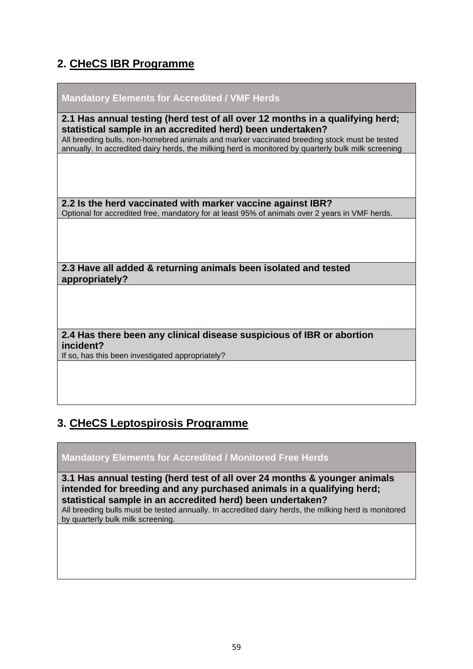# **2. CHeCS IBR Programme**

| <b>Mandatory Elements for Accredited / VMF Herds</b>                                                                                                                                                                                                                                                                                               |
|----------------------------------------------------------------------------------------------------------------------------------------------------------------------------------------------------------------------------------------------------------------------------------------------------------------------------------------------------|
| 2.1 Has annual testing (herd test of all over 12 months in a qualifying herd;<br>statistical sample in an accredited herd) been undertaken?<br>All breeding bulls, non-homebred animals and marker vaccinated breeding stock must be tested<br>annually. In accredited dairy herds, the milking herd is monitored by quarterly bulk milk screening |
|                                                                                                                                                                                                                                                                                                                                                    |
| 2.2 Is the herd vaccinated with marker vaccine against IBR?<br>Optional for accredited free, mandatory for at least 95% of animals over 2 years in VMF herds.                                                                                                                                                                                      |
|                                                                                                                                                                                                                                                                                                                                                    |
| 2.3 Have all added & returning animals been isolated and tested<br>appropriately?                                                                                                                                                                                                                                                                  |
|                                                                                                                                                                                                                                                                                                                                                    |
| 2.4 Has there been any clinical disease suspicious of IBR or abortion<br>incident?<br>If so, has this been investigated appropriately?                                                                                                                                                                                                             |
|                                                                                                                                                                                                                                                                                                                                                    |

# **3. CHeCS Leptospirosis Programme**

#### **Mandatory Elements for Accredited / Monitored Free Herds**

**3.1 Has annual testing (herd test of all over 24 months & younger animals intended for breeding and any purchased animals in a qualifying herd; statistical sample in an accredited herd) been undertaken?** All breeding bulls must be tested annually. In accredited dairy herds, the milking herd is monitored by quarterly bulk milk screening.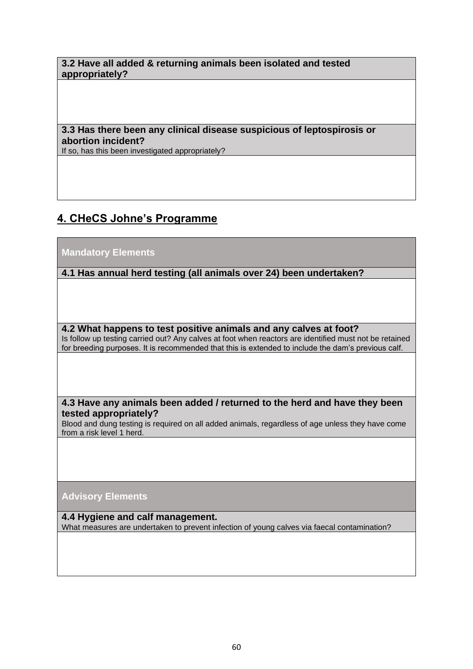#### **3.2 Have all added & returning animals been isolated and tested appropriately?**

#### **3.3 Has there been any clinical disease suspicious of leptospirosis or abortion incident?**

If so, has this been investigated appropriately?

# **4. CHeCS Johne's Programme**

#### **Mandatory Elements**

#### **4.1 Has annual herd testing (all animals over 24) been undertaken?**

#### **4.2 What happens to test positive animals and any calves at foot?**

Is follow up testing carried out? Any calves at foot when reactors are identified must not be retained for breeding purposes. It is recommended that this is extended to include the dam's previous calf.

#### **4.3 Have any animals been added / returned to the herd and have they been tested appropriately?**

Blood and dung testing is required on all added animals, regardless of age unless they have come from a risk level 1 herd.

#### **Advisory Elements**

**4.4 Hygiene and calf management.** What measures are undertaken to prevent infection of young calves via faecal contamination?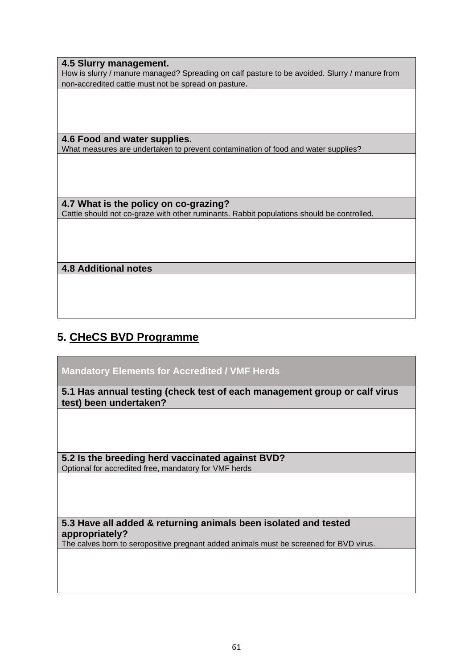**4.5 Slurry management.** How is slurry / manure managed? Spreading on calf pasture to be avoided. Slurry / manure from non-accredited cattle must not be spread on pasture.

**4.6 Food and water supplies.** What measures are undertaken to prevent contamination of food and water supplies?

**4.7 What is the policy on co-grazing?** Cattle should not co-graze with other ruminants. Rabbit populations should be controlled.

#### **4.8 Additional notes**

# **5. CHeCS BVD Programme**

**Mandatory Elements for Accredited / VMF Herds**

**5.1 Has annual testing (check test of each management group or calf virus test) been undertaken?** 

**5.2 Is the breeding herd vaccinated against BVD?**  Optional for accredited free, mandatory for VMF herds

**5.3 Have all added & returning animals been isolated and tested appropriately?**

The calves born to seropositive pregnant added animals must be screened for BVD virus.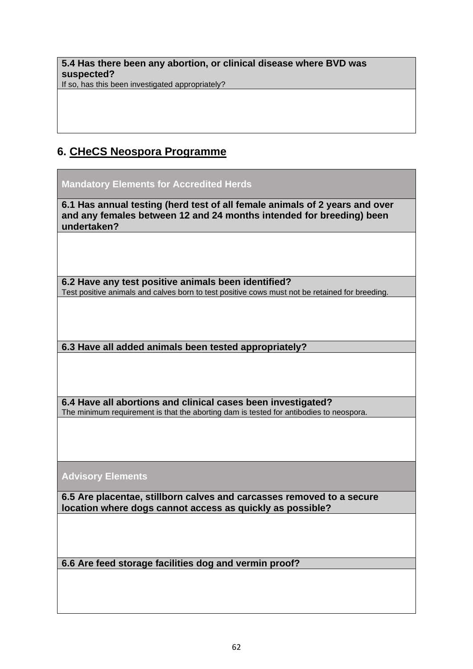**5.4 Has there been any abortion, or clinical disease where BVD was suspected?**

If so, has this been investigated appropriately?

# **6. CHeCS Neospora Programme**

**Mandatory Elements for Accredited Herds**

**6.1 Has annual testing (herd test of all female animals of 2 years and over and any females between 12 and 24 months intended for breeding) been undertaken?** 

**6.2 Have any test positive animals been identified?**  Test positive animals and calves born to test positive cows must not be retained for breeding.

**6.3 Have all added animals been tested appropriately?** 

**6.4 Have all abortions and clinical cases been investigated?**  The minimum requirement is that the aborting dam is tested for antibodies to neospora.

**Advisory Elements**

**6.5 Are placentae, stillborn calves and carcasses removed to a secure location where dogs cannot access as quickly as possible?** 

**6.6 Are feed storage facilities dog and vermin proof?**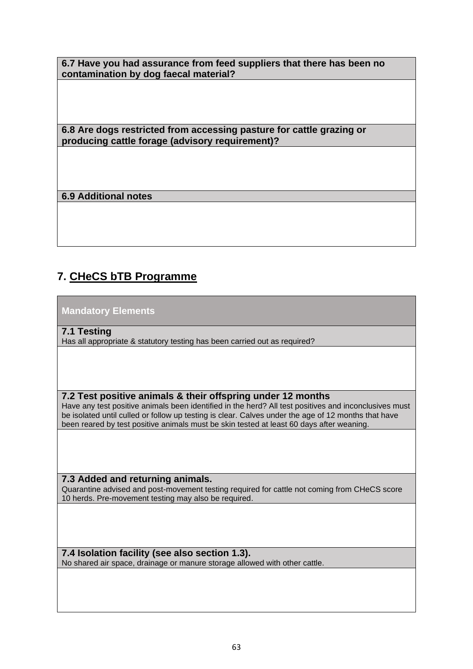**6.7 Have you had assurance from feed suppliers that there has been no contamination by dog faecal material?** 

**6.8 Are dogs restricted from accessing pasture for cattle grazing or producing cattle forage (advisory requirement)?** 

**6.9 Additional notes** 

# **7. CHeCS bTB Programme**

**Mandatory Elements**

**7.1 Testing**

Has all appropriate & statutory testing has been carried out as required?

**7.2 Test positive animals & their offspring under 12 months** 

Have any test positive animals been identified in the herd? All test positives and inconclusives must be isolated until culled or follow up testing is clear. Calves under the age of 12 months that have been reared by test positive animals must be skin tested at least 60 days after weaning.

#### **7.3 Added and returning animals.**

Quarantine advised and post-movement testing required for cattle not coming from CHeCS score 10 herds. Pre-movement testing may also be required.

#### **7.4 Isolation facility (see also section 1.3).**

No shared air space, drainage or manure storage allowed with other cattle.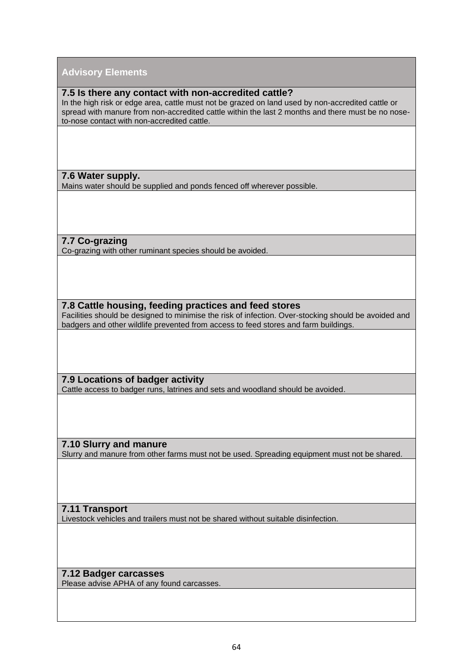#### **Advisory Elements**

#### **7.5 Is there any contact with non-accredited cattle?**

In the high risk or edge area, cattle must not be grazed on land used by non-accredited cattle or spread with manure from non-accredited cattle within the last 2 months and there must be no noseto-nose contact with non-accredited cattle.

**7.6 Water supply.**

Mains water should be supplied and ponds fenced off wherever possible.

**7.7 Co-grazing**

Co-grazing with other ruminant species should be avoided.

**7.8 Cattle housing, feeding practices and feed stores**

Facilities should be designed to minimise the risk of infection. Over-stocking should be avoided and badgers and other wildlife prevented from access to feed stores and farm buildings.

**7.9 Locations of badger activity** Cattle access to badger runs, latrines and sets and woodland should be avoided.

**7.10 Slurry and manure** Slurry and manure from other farms must not be used. Spreading equipment must not be shared.

**7.11 Transport**

Livestock vehicles and trailers must not be shared without suitable disinfection.

**7.12 Badger carcasses**

Please advise APHA of any found carcasses.